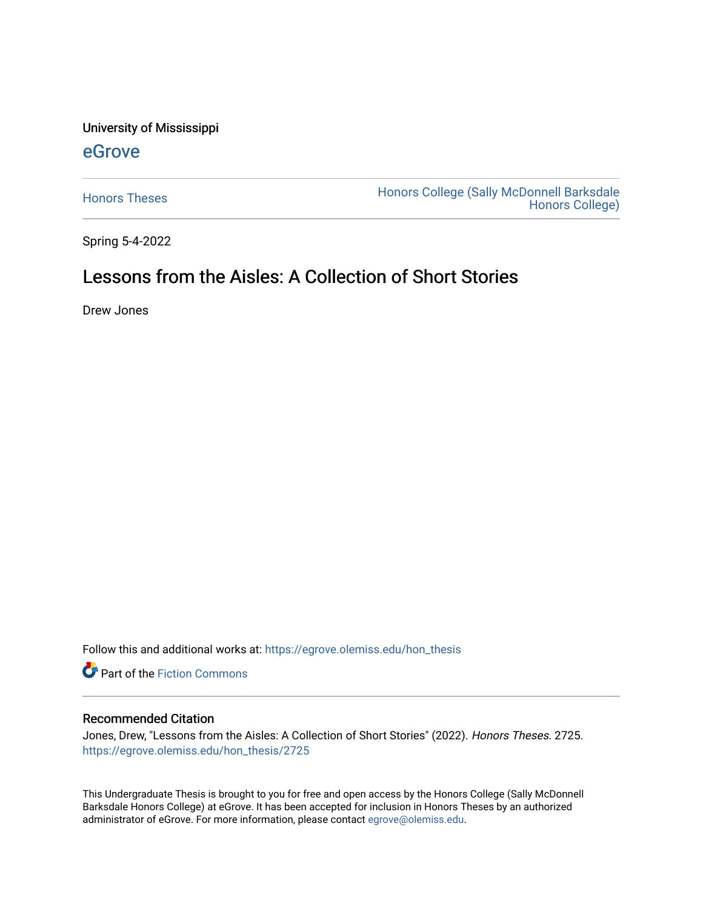University of Mississippi

#### [eGrove](https://egrove.olemiss.edu/)

[Honors Theses](https://egrove.olemiss.edu/hon_thesis) **Honors College (Sally McDonnell Barksdale** [Honors College\)](https://egrove.olemiss.edu/honors) 

Spring 5-4-2022

## Lessons from the Aisles: A Collection of Short Stories

Drew Jones

Follow this and additional works at: [https://egrove.olemiss.edu/hon\\_thesis](https://egrove.olemiss.edu/hon_thesis?utm_source=egrove.olemiss.edu%2Fhon_thesis%2F2725&utm_medium=PDF&utm_campaign=PDFCoverPages) 

Part of the [Fiction Commons](https://network.bepress.com/hgg/discipline/1151?utm_source=egrove.olemiss.edu%2Fhon_thesis%2F2725&utm_medium=PDF&utm_campaign=PDFCoverPages) 

#### Recommended Citation

Jones, Drew, "Lessons from the Aisles: A Collection of Short Stories" (2022). Honors Theses. 2725. [https://egrove.olemiss.edu/hon\\_thesis/2725](https://egrove.olemiss.edu/hon_thesis/2725?utm_source=egrove.olemiss.edu%2Fhon_thesis%2F2725&utm_medium=PDF&utm_campaign=PDFCoverPages) 

This Undergraduate Thesis is brought to you for free and open access by the Honors College (Sally McDonnell Barksdale Honors College) at eGrove. It has been accepted for inclusion in Honors Theses by an authorized administrator of eGrove. For more information, please contact [egrove@olemiss.edu](mailto:egrove@olemiss.edu).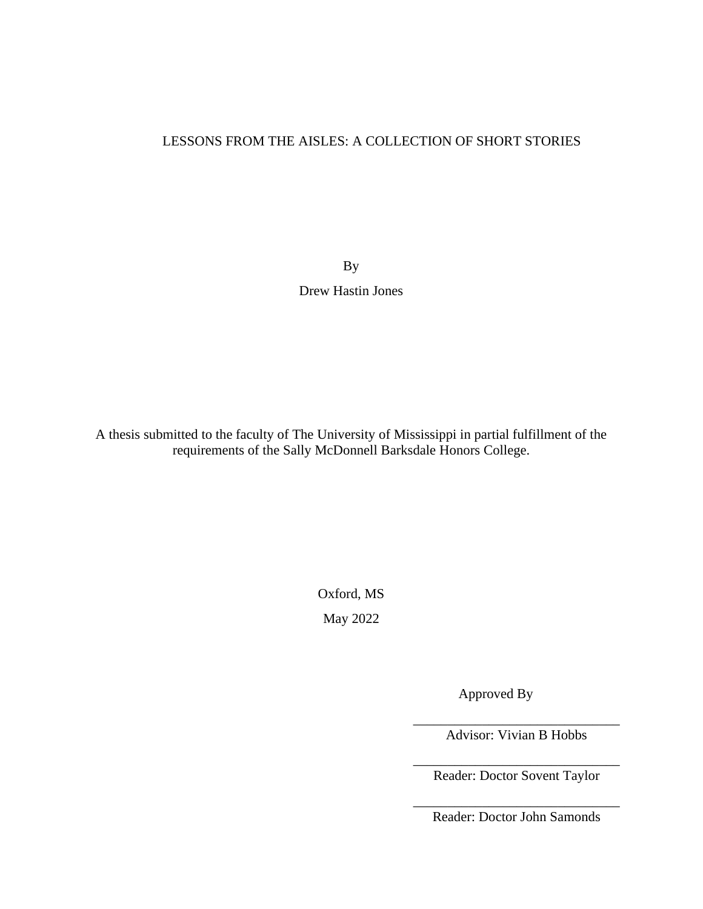#### LESSONS FROM THE AISLES: A COLLECTION OF SHORT STORIES

By Drew Hastin Jones

A thesis submitted to the faculty of The University of Mississippi in partial fulfillment of the requirements of the Sally McDonnell Barksdale Honors College.

Oxford, MS

May 2022

Approved By

\_\_\_\_\_\_\_\_\_\_\_\_\_\_\_\_\_\_\_\_\_\_\_\_\_\_\_\_\_\_ Advisor: Vivian B Hobbs

\_\_\_\_\_\_\_\_\_\_\_\_\_\_\_\_\_\_\_\_\_\_\_\_\_\_\_\_\_\_ Reader: Doctor Sovent Taylor

\_\_\_\_\_\_\_\_\_\_\_\_\_\_\_\_\_\_\_\_\_\_\_\_\_\_\_\_\_\_ Reader: Doctor John Samonds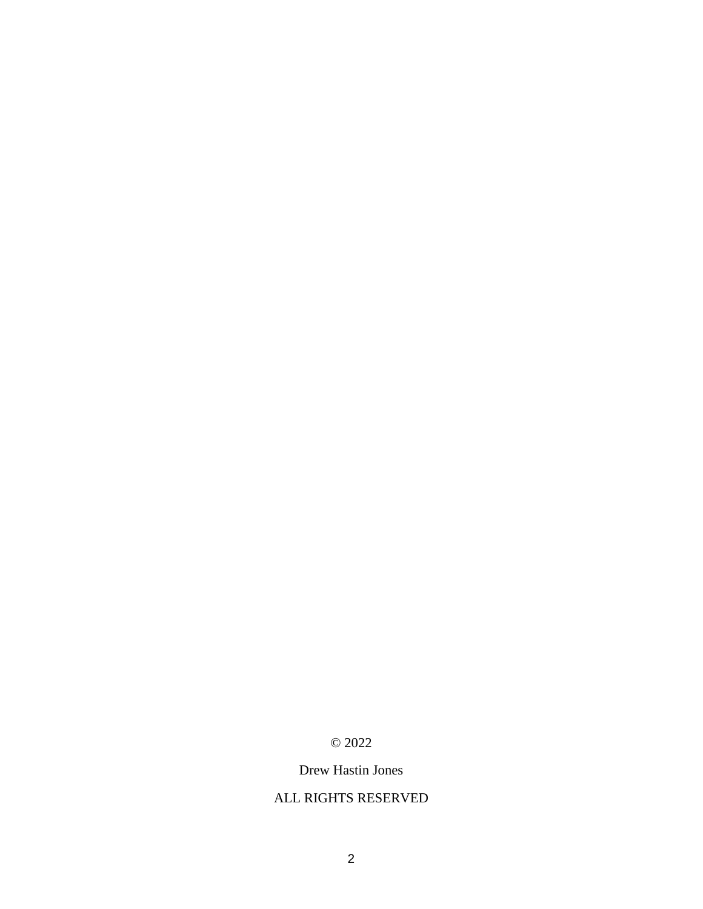#### © 2022

#### Drew Hastin Jones

#### ALL RIGHTS RESERVED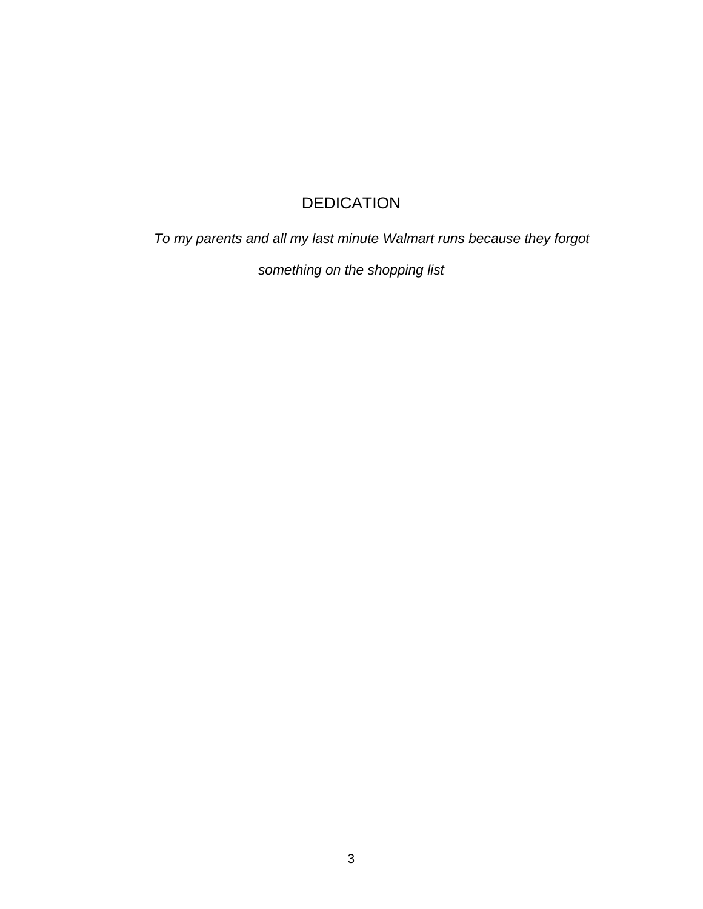## **DEDICATION**

*To my parents and all my last minute Walmart runs because they forgot* 

*something on the shopping list*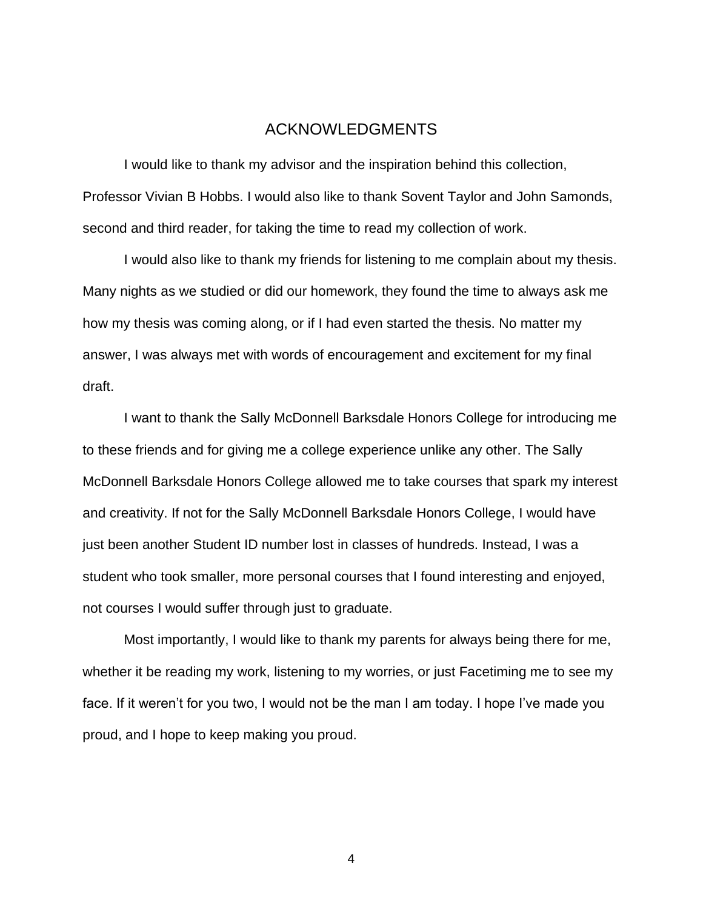#### ACKNOWLEDGMENTS

I would like to thank my advisor and the inspiration behind this collection, Professor Vivian B Hobbs. I would also like to thank Sovent Taylor and John Samonds, second and third reader, for taking the time to read my collection of work.

I would also like to thank my friends for listening to me complain about my thesis. Many nights as we studied or did our homework, they found the time to always ask me how my thesis was coming along, or if I had even started the thesis. No matter my answer, I was always met with words of encouragement and excitement for my final draft.

I want to thank the Sally McDonnell Barksdale Honors College for introducing me to these friends and for giving me a college experience unlike any other. The Sally McDonnell Barksdale Honors College allowed me to take courses that spark my interest and creativity. If not for the Sally McDonnell Barksdale Honors College, I would have just been another Student ID number lost in classes of hundreds. Instead, I was a student who took smaller, more personal courses that I found interesting and enjoyed, not courses I would suffer through just to graduate.

Most importantly, I would like to thank my parents for always being there for me, whether it be reading my work, listening to my worries, or just Facetiming me to see my face. If it weren't for you two, I would not be the man I am today. I hope I've made you proud, and I hope to keep making you proud.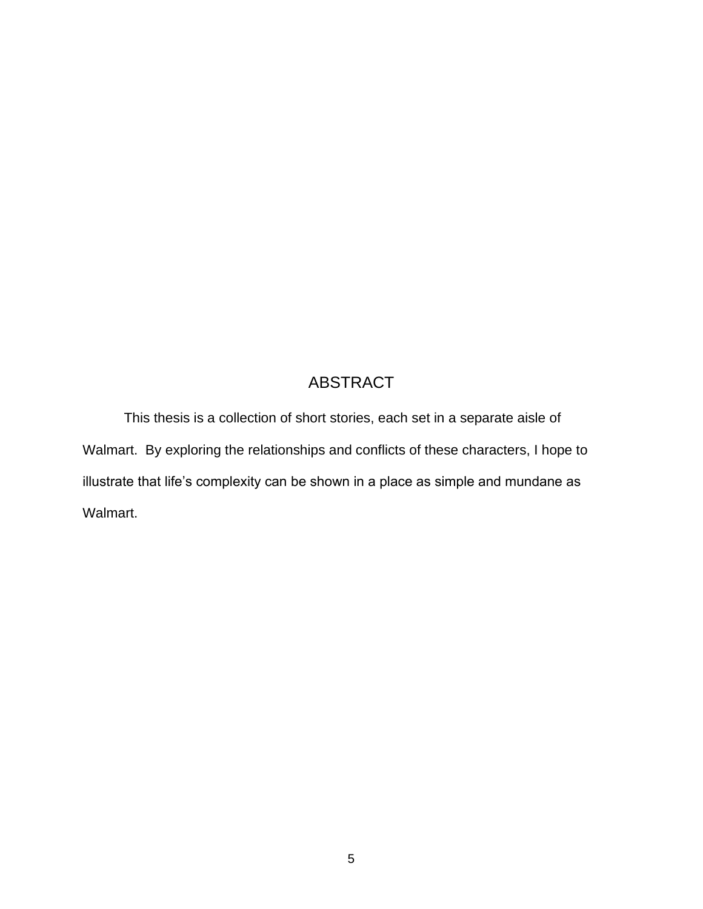## ABSTRACT

This thesis is a collection of short stories, each set in a separate aisle of Walmart. By exploring the relationships and conflicts of these characters, I hope to illustrate that life's complexity can be shown in a place as simple and mundane as Walmart.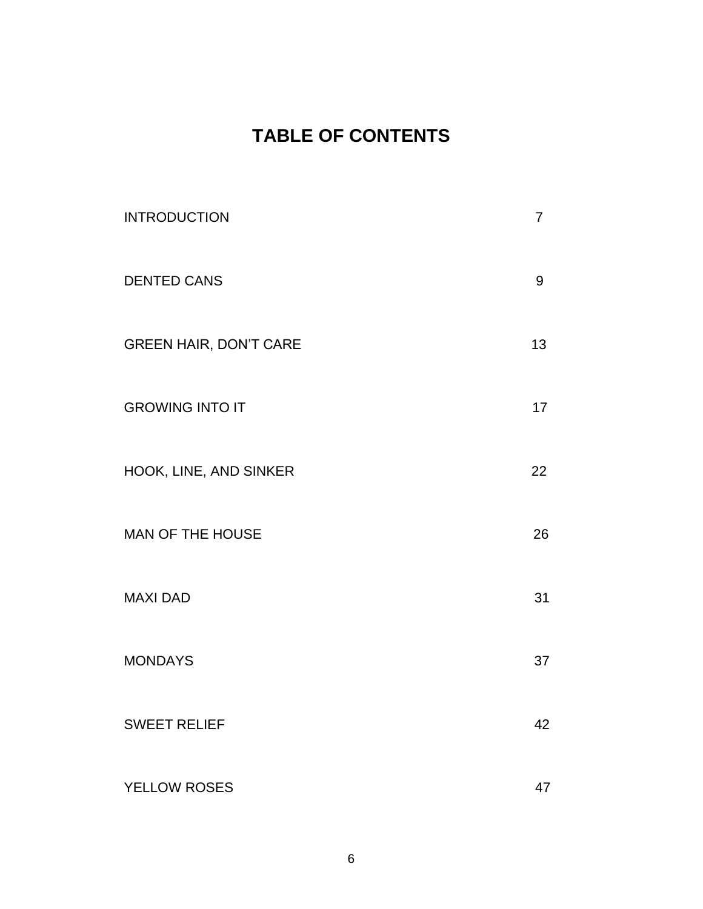# **TABLE OF CONTENTS**

| <b>INTRODUCTION</b>           | $\overline{7}$ |
|-------------------------------|----------------|
| <b>DENTED CANS</b>            | 9              |
| <b>GREEN HAIR, DON'T CARE</b> | 13             |
| <b>GROWING INTO IT</b>        | 17             |
| HOOK, LINE, AND SINKER        | 22             |
| MAN OF THE HOUSE              | 26             |
| <b>MAXI DAD</b>               | 31             |
| <b>MONDAYS</b>                | 37             |
| <b>SWEET RELIEF</b>           | 42             |
| YELLOW ROSES                  | 47             |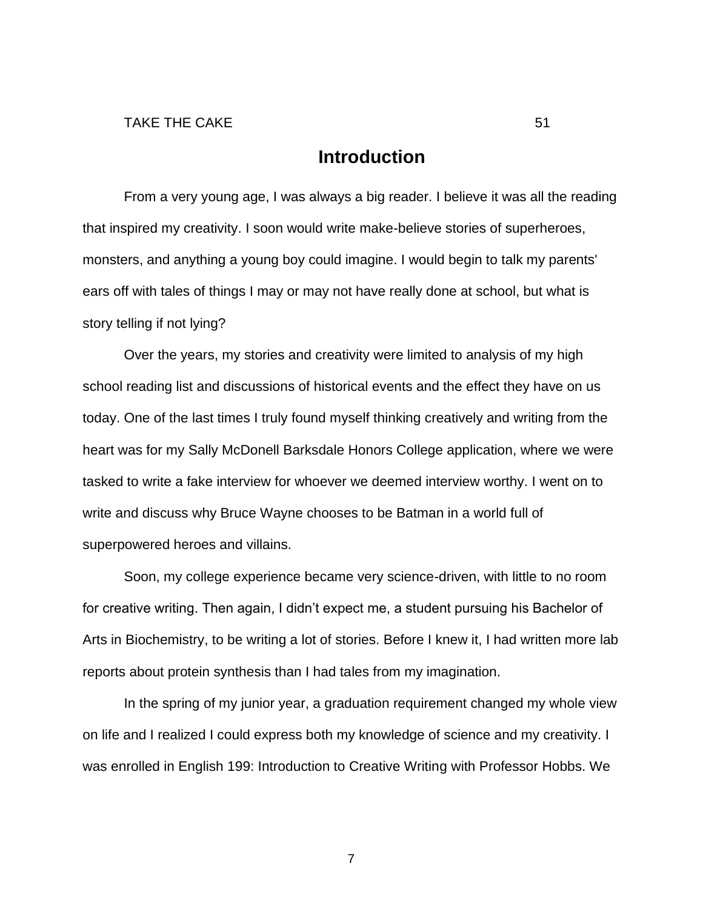### **Introduction**

From a very young age, I was always a big reader. I believe it was all the reading that inspired my creativity. I soon would write make-believe stories of superheroes, monsters, and anything a young boy could imagine. I would begin to talk my parents' ears off with tales of things I may or may not have really done at school, but what is story telling if not lying?

Over the years, my stories and creativity were limited to analysis of my high school reading list and discussions of historical events and the effect they have on us today. One of the last times I truly found myself thinking creatively and writing from the heart was for my Sally McDonell Barksdale Honors College application, where we were tasked to write a fake interview for whoever we deemed interview worthy. I went on to write and discuss why Bruce Wayne chooses to be Batman in a world full of superpowered heroes and villains.

Soon, my college experience became very science-driven, with little to no room for creative writing. Then again, I didn't expect me, a student pursuing his Bachelor of Arts in Biochemistry, to be writing a lot of stories. Before I knew it, I had written more lab reports about protein synthesis than I had tales from my imagination.

In the spring of my junior year, a graduation requirement changed my whole view on life and I realized I could express both my knowledge of science and my creativity. I was enrolled in English 199: Introduction to Creative Writing with Professor Hobbs. We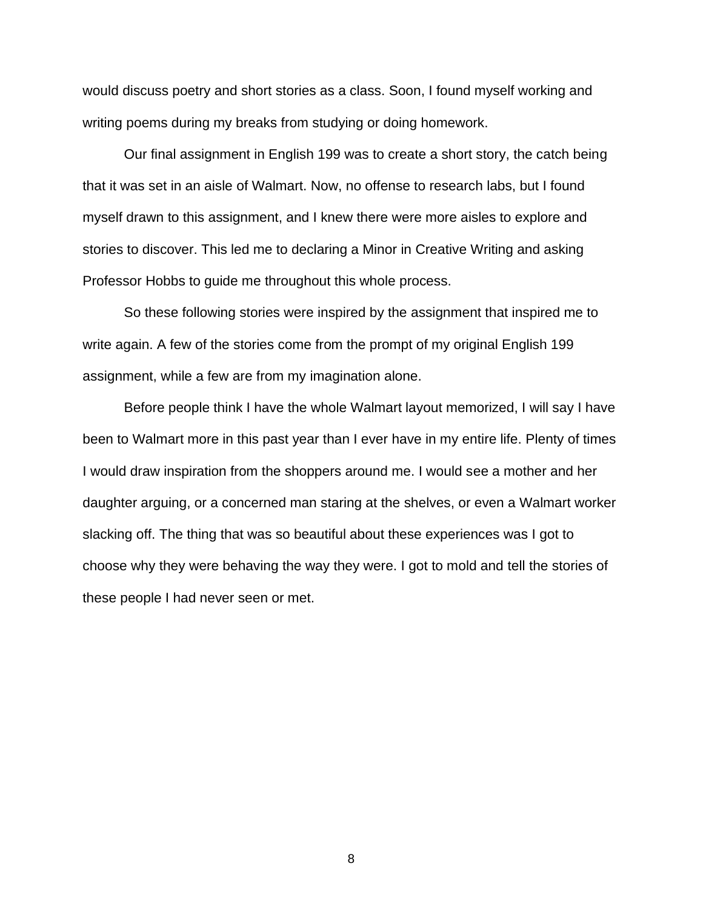would discuss poetry and short stories as a class. Soon, I found myself working and writing poems during my breaks from studying or doing homework.

Our final assignment in English 199 was to create a short story, the catch being that it was set in an aisle of Walmart. Now, no offense to research labs, but I found myself drawn to this assignment, and I knew there were more aisles to explore and stories to discover. This led me to declaring a Minor in Creative Writing and asking Professor Hobbs to guide me throughout this whole process.

So these following stories were inspired by the assignment that inspired me to write again. A few of the stories come from the prompt of my original English 199 assignment, while a few are from my imagination alone.

Before people think I have the whole Walmart layout memorized, I will say I have been to Walmart more in this past year than I ever have in my entire life. Plenty of times I would draw inspiration from the shoppers around me. I would see a mother and her daughter arguing, or a concerned man staring at the shelves, or even a Walmart worker slacking off. The thing that was so beautiful about these experiences was I got to choose why they were behaving the way they were. I got to mold and tell the stories of these people I had never seen or met.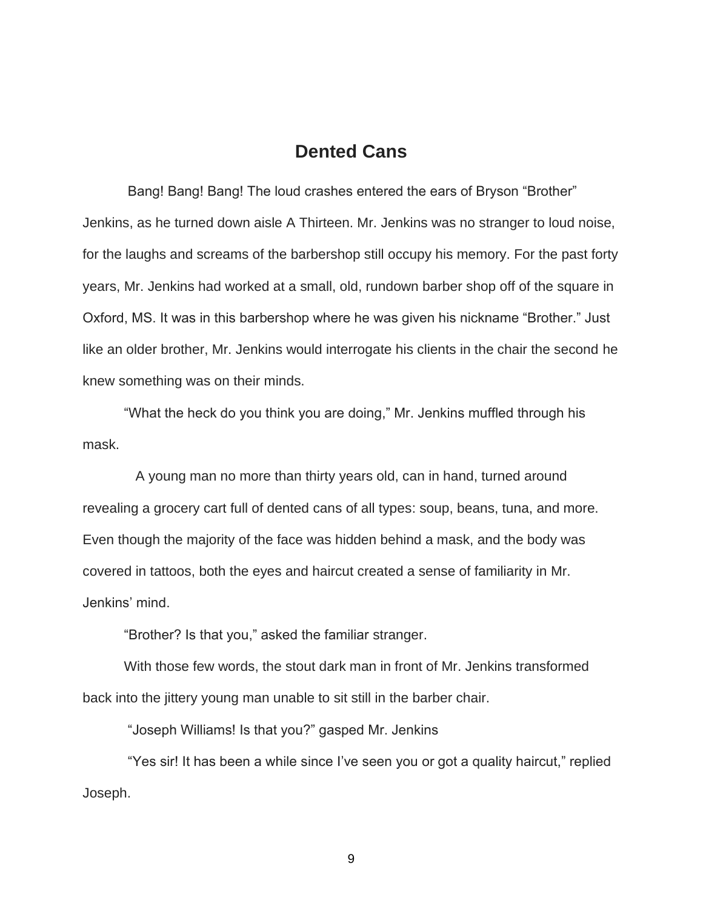### **Dented Cans**

 Bang! Bang! Bang! The loud crashes entered the ears of Bryson "Brother" Jenkins, as he turned down aisle A Thirteen. Mr. Jenkins was no stranger to loud noise, for the laughs and screams of the barbershop still occupy his memory. For the past forty years, Mr. Jenkins had worked at a small, old, rundown barber shop off of the square in Oxford, MS. It was in this barbershop where he was given his nickname "Brother." Just like an older brother, Mr. Jenkins would interrogate his clients in the chair the second he knew something was on their minds.

 "What the heck do you think you are doing," Mr. Jenkins muffled through his mask.

 A young man no more than thirty years old, can in hand, turned around revealing a grocery cart full of dented cans of all types: soup, beans, tuna, and more. Even though the majority of the face was hidden behind a mask, and the body was covered in tattoos, both the eyes and haircut created a sense of familiarity in Mr. Jenkins' mind.

"Brother? Is that you," asked the familiar stranger.

 With those few words, the stout dark man in front of Mr. Jenkins transformed back into the jittery young man unable to sit still in the barber chair.

"Joseph Williams! Is that you?" gasped Mr. Jenkins

 "Yes sir! It has been a while since I've seen you or got a quality haircut," replied Joseph.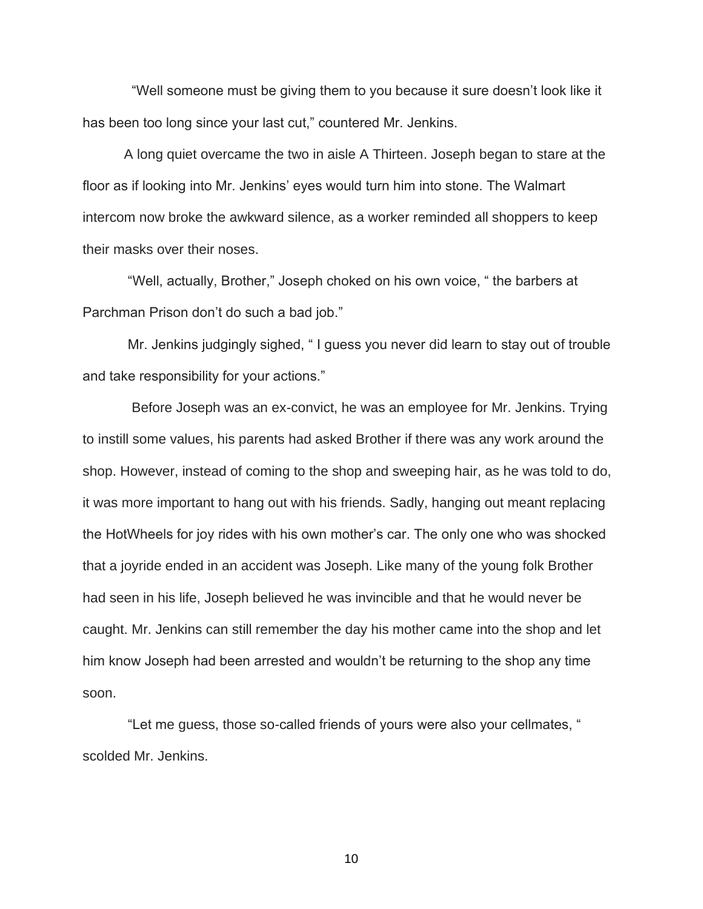"Well someone must be giving them to you because it sure doesn't look like it has been too long since your last cut," countered Mr. Jenkins.

A long quiet overcame the two in aisle A Thirteen. Joseph began to stare at the floor as if looking into Mr. Jenkins' eyes would turn him into stone. The Walmart intercom now broke the awkward silence, as a worker reminded all shoppers to keep their masks over their noses.

 "Well, actually, Brother," Joseph choked on his own voice, " the barbers at Parchman Prison don't do such a bad job."

 Mr. Jenkins judgingly sighed, " I guess you never did learn to stay out of trouble and take responsibility for your actions."

 Before Joseph was an ex-convict, he was an employee for Mr. Jenkins. Trying to instill some values, his parents had asked Brother if there was any work around the shop. However, instead of coming to the shop and sweeping hair, as he was told to do, it was more important to hang out with his friends. Sadly, hanging out meant replacing the HotWheels for joy rides with his own mother's car. The only one who was shocked that a joyride ended in an accident was Joseph. Like many of the young folk Brother had seen in his life, Joseph believed he was invincible and that he would never be caught. Mr. Jenkins can still remember the day his mother came into the shop and let him know Joseph had been arrested and wouldn't be returning to the shop any time soon.

 "Let me guess, those so-called friends of yours were also your cellmates, " scolded Mr. Jenkins.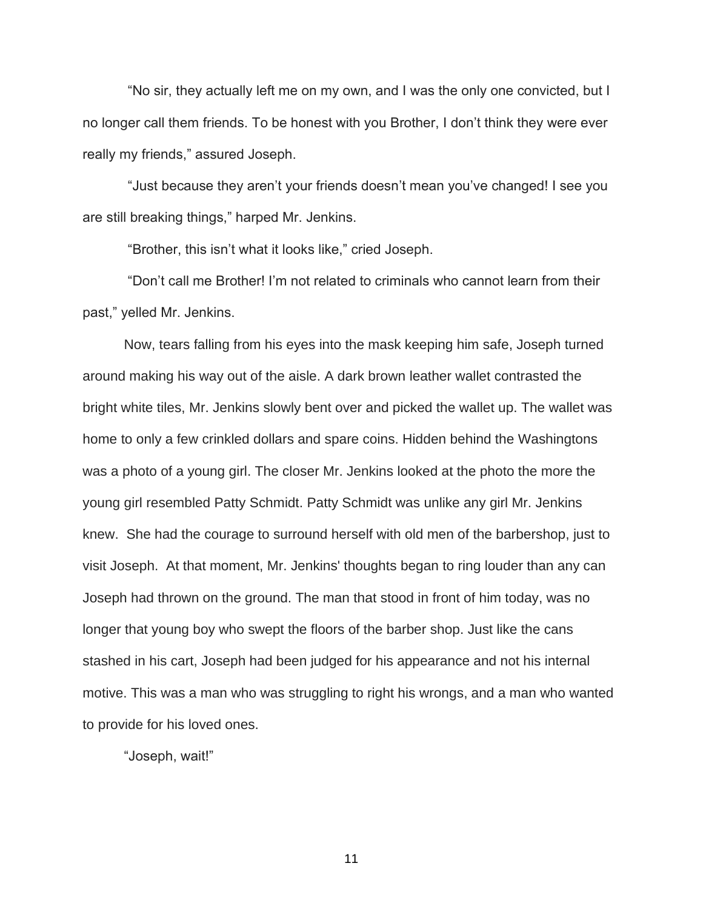"No sir, they actually left me on my own, and I was the only one convicted, but I no longer call them friends. To be honest with you Brother, I don't think they were ever really my friends," assured Joseph.

 "Just because they aren't your friends doesn't mean you've changed! I see you are still breaking things," harped Mr. Jenkins.

"Brother, this isn't what it looks like," cried Joseph.

 "Don't call me Brother! I'm not related to criminals who cannot learn from their past," yelled Mr. Jenkins.

 Now, tears falling from his eyes into the mask keeping him safe, Joseph turned around making his way out of the aisle. A dark brown leather wallet contrasted the bright white tiles, Mr. Jenkins slowly bent over and picked the wallet up. The wallet was home to only a few crinkled dollars and spare coins. Hidden behind the Washingtons was a photo of a young girl. The closer Mr. Jenkins looked at the photo the more the young girl resembled Patty Schmidt. Patty Schmidt was unlike any girl Mr. Jenkins knew. She had the courage to surround herself with old men of the barbershop, just to visit Joseph. At that moment, Mr. Jenkins' thoughts began to ring louder than any can Joseph had thrown on the ground. The man that stood in front of him today, was no longer that young boy who swept the floors of the barber shop. Just like the cans stashed in his cart, Joseph had been judged for his appearance and not his internal motive. This was a man who was struggling to right his wrongs, and a man who wanted to provide for his loved ones.

"Joseph, wait!"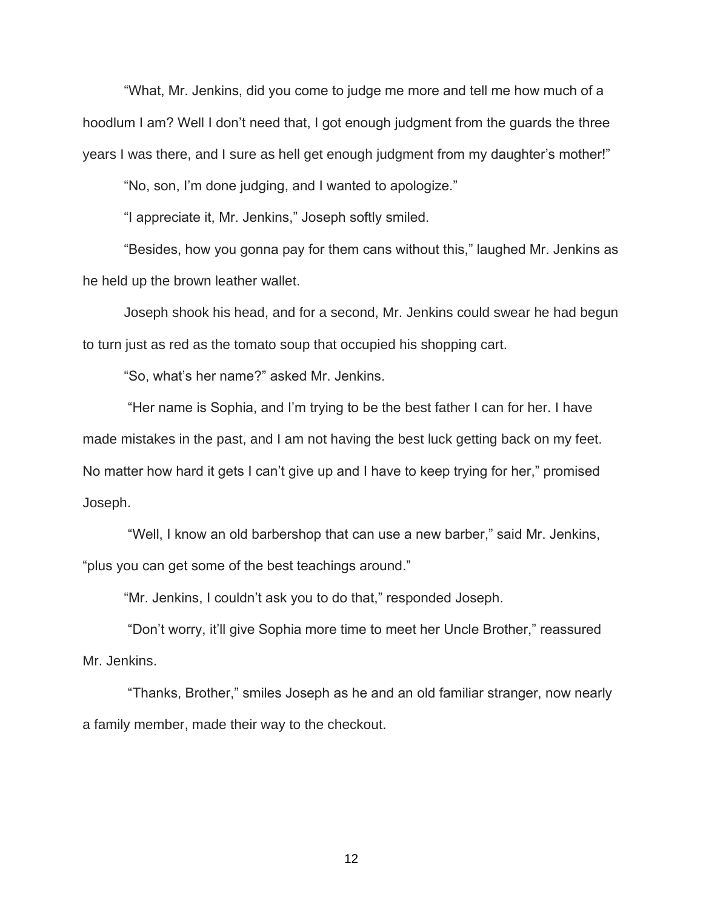"What, Mr. Jenkins, did you come to judge me more and tell me how much of a hoodlum I am? Well I don't need that, I got enough judgment from the guards the three years I was there, and I sure as hell get enough judgment from my daughter's mother!"

"No, son, I'm done judging, and I wanted to apologize."

"I appreciate it, Mr. Jenkins," Joseph softly smiled.

"Besides, how you gonna pay for them cans without this," laughed Mr. Jenkins as he held up the brown leather wallet.

Joseph shook his head, and for a second, Mr. Jenkins could swear he had begun to turn just as red as the tomato soup that occupied his shopping cart.

"So, what's her name?" asked Mr. Jenkins.

 "Her name is Sophia, and I'm trying to be the best father I can for her. I have made mistakes in the past, and I am not having the best luck getting back on my feet. No matter how hard it gets I can't give up and I have to keep trying for her," promised Joseph.

 "Well, I know an old barbershop that can use a new barber," said Mr. Jenkins, "plus you can get some of the best teachings around."

"Mr. Jenkins, I couldn't ask you to do that," responded Joseph.

 "Don't worry, it'll give Sophia more time to meet her Uncle Brother," reassured Mr. Jenkins.

 "Thanks, Brother," smiles Joseph as he and an old familiar stranger, now nearly a family member, made their way to the checkout.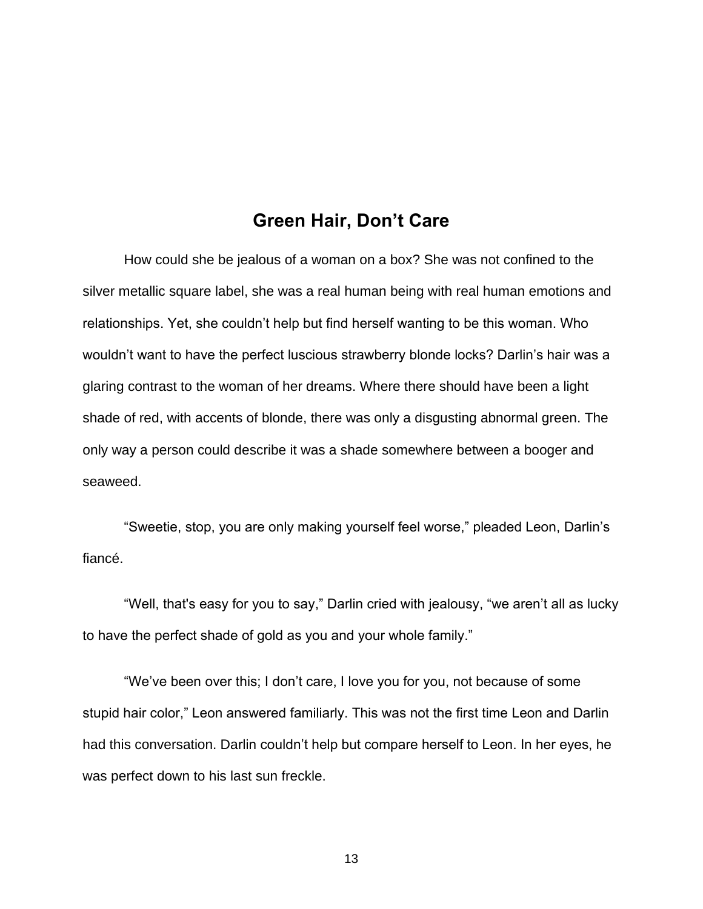### **Green Hair, Don't Care**

How could she be jealous of a woman on a box? She was not confined to the silver metallic square label, she was a real human being with real human emotions and relationships. Yet, she couldn't help but find herself wanting to be this woman. Who wouldn't want to have the perfect luscious strawberry blonde locks? Darlin's hair was a glaring contrast to the woman of her dreams. Where there should have been a light shade of red, with accents of blonde, there was only a disgusting abnormal green. The only way a person could describe it was a shade somewhere between a booger and seaweed.

"Sweetie, stop, you are only making yourself feel worse," pleaded Leon, Darlin's fiancé.

"Well, that's easy for you to say," Darlin cried with jealousy, "we aren't all as lucky to have the perfect shade of gold as you and your whole family."

"We've been over this; I don't care, I love you for you, not because of some stupid hair color," Leon answered familiarly. This was not the first time Leon and Darlin had this conversation. Darlin couldn't help but compare herself to Leon. In her eyes, he was perfect down to his last sun freckle.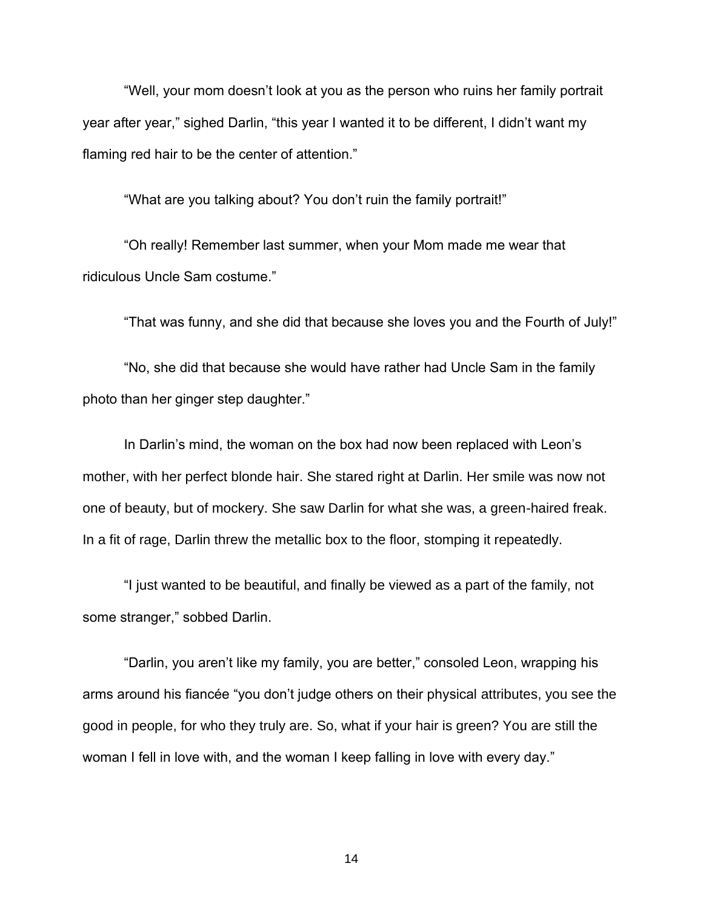"Well, your mom doesn't look at you as the person who ruins her family portrait year after year," sighed Darlin, "this year I wanted it to be different, I didn't want my flaming red hair to be the center of attention."

"What are you talking about? You don't ruin the family portrait!"

"Oh really! Remember last summer, when your Mom made me wear that ridiculous Uncle Sam costume."

"That was funny, and she did that because she loves you and the Fourth of July!"

"No, she did that because she would have rather had Uncle Sam in the family photo than her ginger step daughter."

In Darlin's mind, the woman on the box had now been replaced with Leon's mother, with her perfect blonde hair. She stared right at Darlin. Her smile was now not one of beauty, but of mockery. She saw Darlin for what she was, a green-haired freak. In a fit of rage, Darlin threw the metallic box to the floor, stomping it repeatedly.

"I just wanted to be beautiful, and finally be viewed as a part of the family, not some stranger," sobbed Darlin.

"Darlin, you aren't like my family, you are better," consoled Leon, wrapping his arms around his fiancée "you don't judge others on their physical attributes, you see the good in people, for who they truly are. So, what if your hair is green? You are still the woman I fell in love with, and the woman I keep falling in love with every day."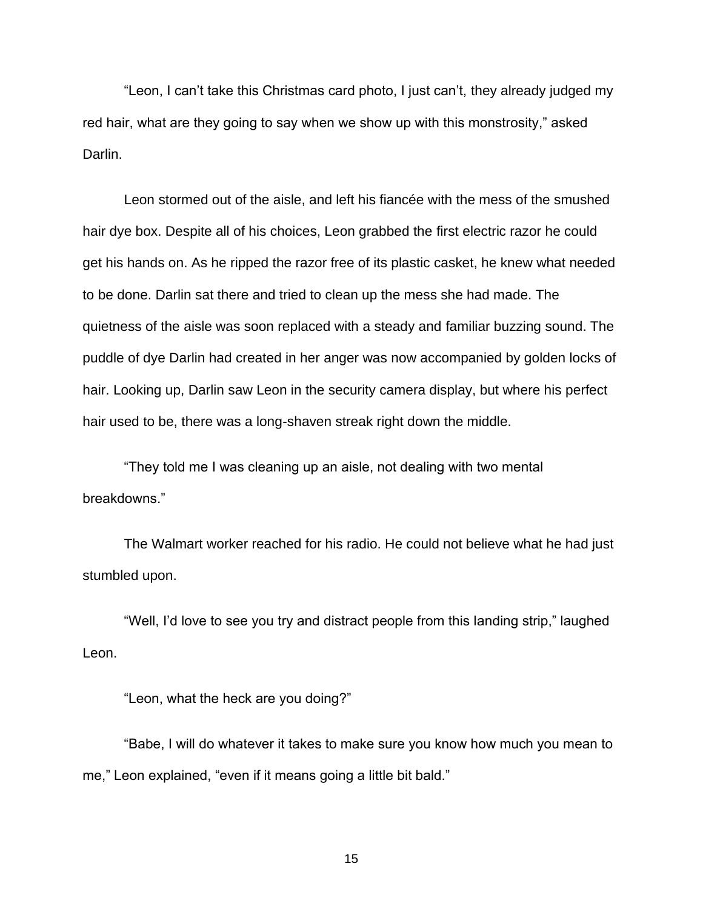"Leon, I can't take this Christmas card photo, I just can't, they already judged my red hair, what are they going to say when we show up with this monstrosity," asked Darlin.

Leon stormed out of the aisle, and left his fiancée with the mess of the smushed hair dye box. Despite all of his choices, Leon grabbed the first electric razor he could get his hands on. As he ripped the razor free of its plastic casket, he knew what needed to be done. Darlin sat there and tried to clean up the mess she had made. The quietness of the aisle was soon replaced with a steady and familiar buzzing sound. The puddle of dye Darlin had created in her anger was now accompanied by golden locks of hair. Looking up, Darlin saw Leon in the security camera display, but where his perfect hair used to be, there was a long-shaven streak right down the middle.

"They told me I was cleaning up an aisle, not dealing with two mental breakdowns."

The Walmart worker reached for his radio. He could not believe what he had just stumbled upon.

"Well, I'd love to see you try and distract people from this landing strip," laughed Leon.

"Leon, what the heck are you doing?"

"Babe, I will do whatever it takes to make sure you know how much you mean to me," Leon explained, "even if it means going a little bit bald."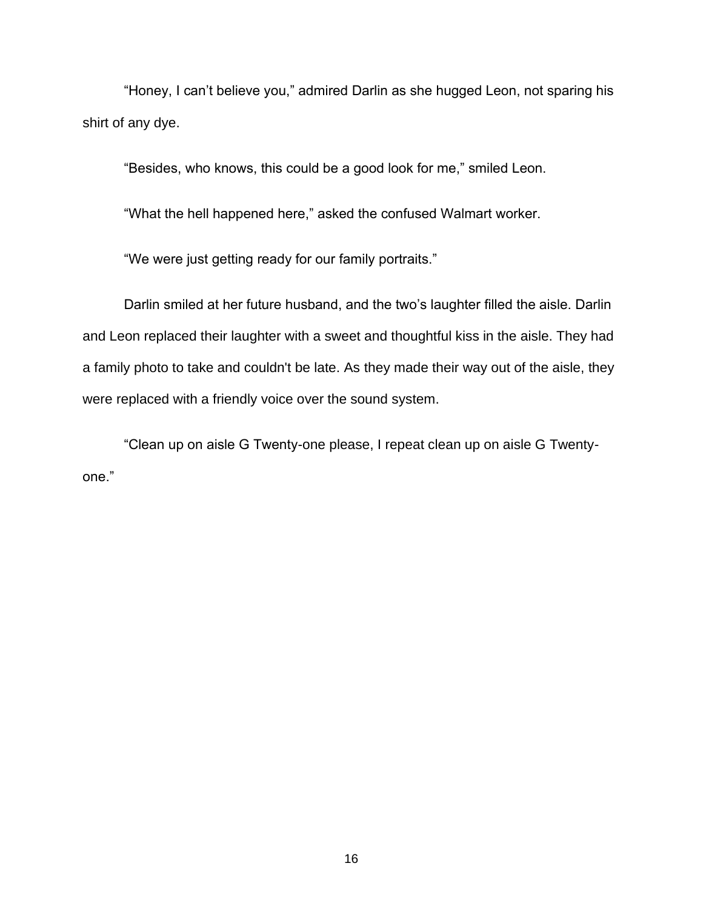"Honey, I can't believe you," admired Darlin as she hugged Leon, not sparing his shirt of any dye.

"Besides, who knows, this could be a good look for me," smiled Leon.

"What the hell happened here," asked the confused Walmart worker.

"We were just getting ready for our family portraits."

Darlin smiled at her future husband, and the two's laughter filled the aisle. Darlin and Leon replaced their laughter with a sweet and thoughtful kiss in the aisle. They had a family photo to take and couldn't be late. As they made their way out of the aisle, they were replaced with a friendly voice over the sound system.

"Clean up on aisle G Twenty-one please, I repeat clean up on aisle G Twentyone."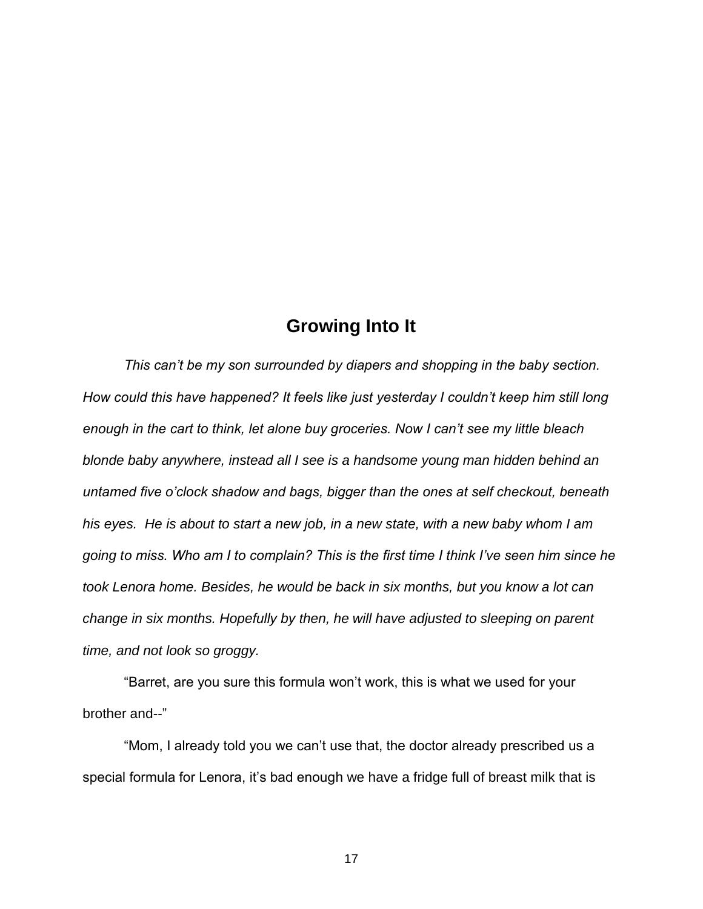## **Growing Into It**

 *This can't be my son surrounded by diapers and shopping in the baby section. How could this have happened? It feels like just yesterday I couldn't keep him still long enough in the cart to think, let alone buy groceries. Now I can't see my little bleach blonde baby anywhere, instead all I see is a handsome young man hidden behind an untamed five o'clock shadow and bags, bigger than the ones at self checkout, beneath his eyes. He is about to start a new job, in a new state, with a new baby whom I am going to miss. Who am I to complain? This is the first time I think I've seen him since he took Lenora home. Besides, he would be back in six months, but you know a lot can change in six months. Hopefully by then, he will have adjusted to sleeping on parent time, and not look so groggy.*

 "Barret, are you sure this formula won't work, this is what we used for your brother and--"

 "Mom, I already told you we can't use that, the doctor already prescribed us a special formula for Lenora, it's bad enough we have a fridge full of breast milk that is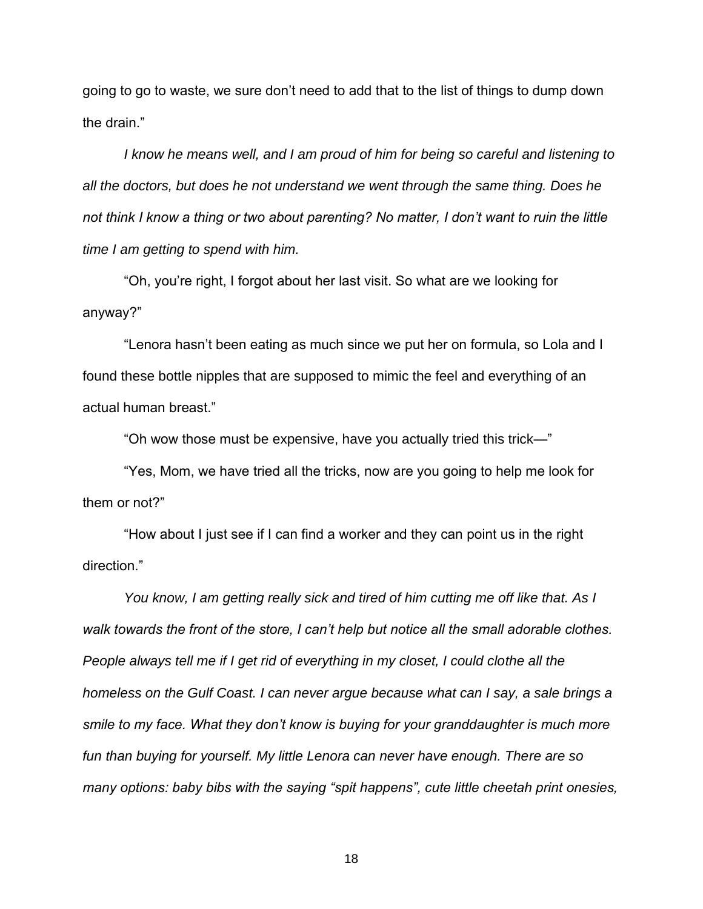going to go to waste, we sure don't need to add that to the list of things to dump down the drain."

*I know he means well, and I am proud of him for being so careful and listening to all the doctors, but does he not understand we went through the same thing. Does he not think I know a thing or two about parenting? No matter, I don't want to ruin the little time I am getting to spend with him.*

 "Oh, you're right, I forgot about her last visit. So what are we looking for anyway?"

 "Lenora hasn't been eating as much since we put her on formula, so Lola and I found these bottle nipples that are supposed to mimic the feel and everything of an actual human breast."

"Oh wow those must be expensive, have you actually tried this trick—"

 "Yes, Mom, we have tried all the tricks, now are you going to help me look for them or not?"

 "How about I just see if I can find a worker and they can point us in the right direction."

 *You know, I am getting really sick and tired of him cutting me off like that. As I walk towards the front of the store, I can't help but notice all the small adorable clothes. People always tell me if I get rid of everything in my closet, I could clothe all the homeless on the Gulf Coast. I can never argue because what can I say, a sale brings a smile to my face. What they don't know is buying for your granddaughter is much more fun than buying for yourself. My little Lenora can never have enough. There are so many options: baby bibs with the saying "spit happens", cute little cheetah print onesies,*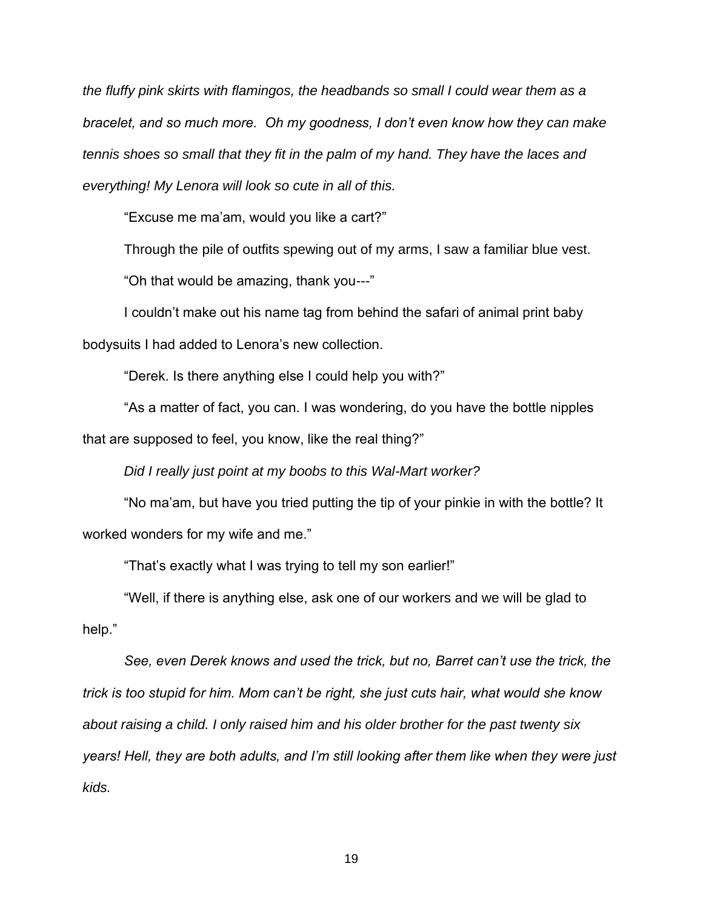*the fluffy pink skirts with flamingos, the headbands so small I could wear them as a bracelet, and so much more. Oh my goodness, I don't even know how they can make tennis shoes so small that they fit in the palm of my hand. They have the laces and everything! My Lenora will look so cute in all of this.*

"Excuse me ma'am, would you like a cart?"

Through the pile of outfits spewing out of my arms, I saw a familiar blue vest.

"Oh that would be amazing, thank you---"

 I couldn't make out his name tag from behind the safari of animal print baby bodysuits I had added to Lenora's new collection.

"Derek. Is there anything else I could help you with?"

 "As a matter of fact, you can. I was wondering, do you have the bottle nipples that are supposed to feel, you know, like the real thing?"

*Did I really just point at my boobs to this Wal-Mart worker?*

 "No ma'am, but have you tried putting the tip of your pinkie in with the bottle? It worked wonders for my wife and me."

"That's exactly what I was trying to tell my son earlier!"

 "Well, if there is anything else, ask one of our workers and we will be glad to help."

 *See, even Derek knows and used the trick, but no, Barret can't use the trick, the trick is too stupid for him. Mom can't be right, she just cuts hair, what would she know about raising a child. I only raised him and his older brother for the past twenty six years! Hell, they are both adults, and I'm still looking after them like when they were just kids.*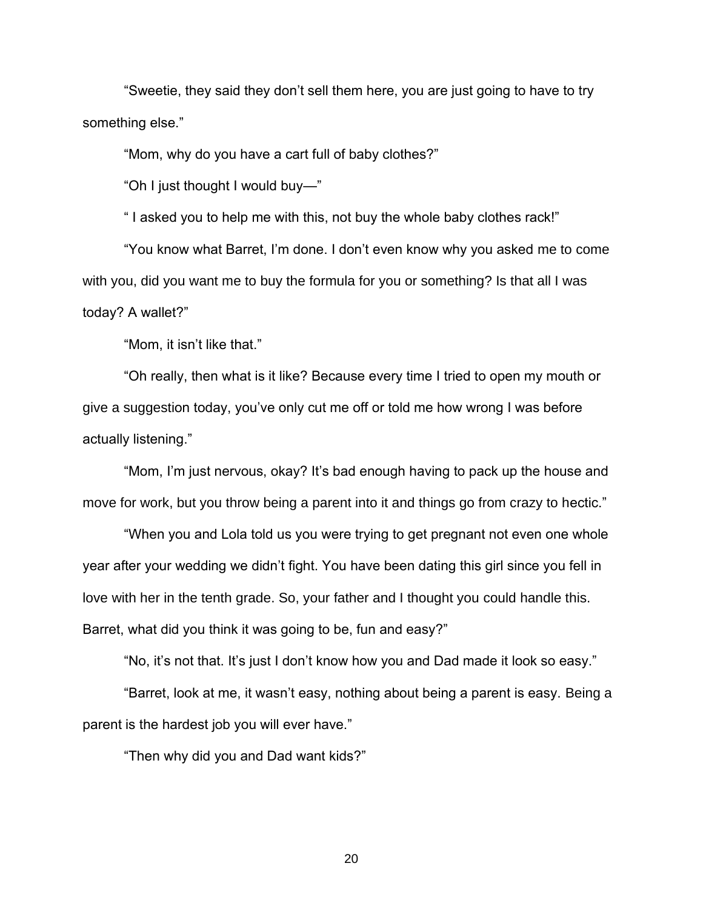"Sweetie, they said they don't sell them here, you are just going to have to try something else."

"Mom, why do you have a cart full of baby clothes?"

"Oh I just thought I would buy—"

" I asked you to help me with this, not buy the whole baby clothes rack!"

 "You know what Barret, I'm done. I don't even know why you asked me to come with you, did you want me to buy the formula for you or something? Is that all I was today? A wallet?"

"Mom, it isn't like that."

 "Oh really, then what is it like? Because every time I tried to open my mouth or give a suggestion today, you've only cut me off or told me how wrong I was before actually listening."

 "Mom, I'm just nervous, okay? It's bad enough having to pack up the house and move for work, but you throw being a parent into it and things go from crazy to hectic."

 "When you and Lola told us you were trying to get pregnant not even one whole year after your wedding we didn't fight. You have been dating this girl since you fell in love with her in the tenth grade. So, your father and I thought you could handle this. Barret, what did you think it was going to be, fun and easy?"

"No, it's not that. It's just I don't know how you and Dad made it look so easy."

 "Barret, look at me, it wasn't easy, nothing about being a parent is easy. Being a parent is the hardest job you will ever have."

"Then why did you and Dad want kids?"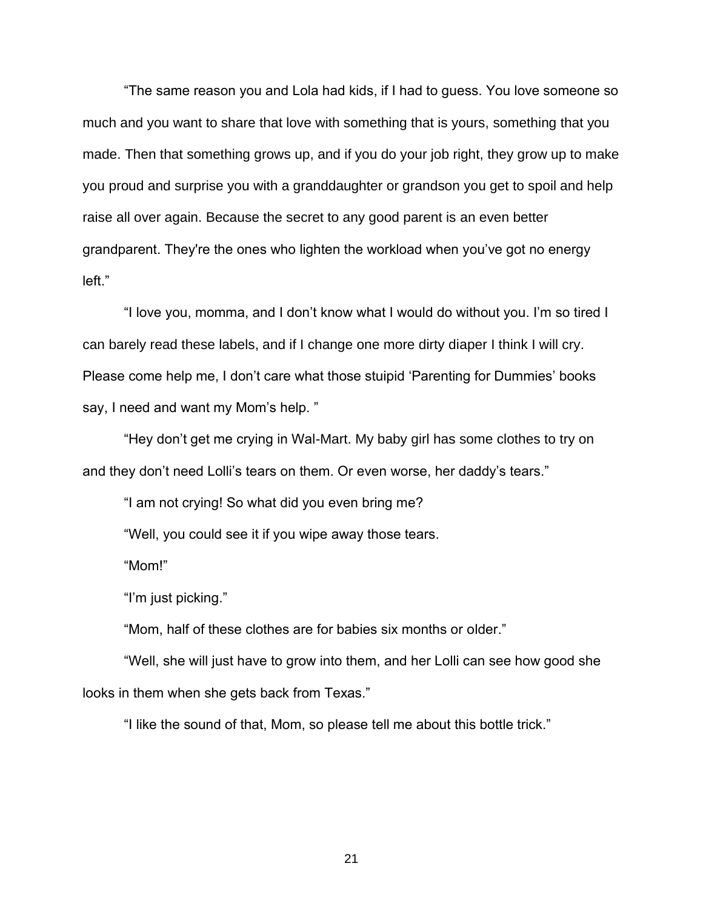"The same reason you and Lola had kids, if I had to guess. You love someone so much and you want to share that love with something that is yours, something that you made. Then that something grows up, and if you do your job right, they grow up to make you proud and surprise you with a granddaughter or grandson you get to spoil and help raise all over again. Because the secret to any good parent is an even better grandparent. They're the ones who lighten the workload when you've got no energy left."

 "I love you, momma, and I don't know what I would do without you. I'm so tired I can barely read these labels, and if I change one more dirty diaper I think I will cry. Please come help me, I don't care what those stuipid 'Parenting for Dummies' books say, I need and want my Mom's help. "

 "Hey don't get me crying in Wal-Mart. My baby girl has some clothes to try on and they don't need Lolli's tears on them. Or even worse, her daddy's tears."

"I am not crying! So what did you even bring me?

"Well, you could see it if you wipe away those tears.

"Mom!"

"I'm just picking."

"Mom, half of these clothes are for babies six months or older."

 "Well, she will just have to grow into them, and her Lolli can see how good she looks in them when she gets back from Texas."

"I like the sound of that, Mom, so please tell me about this bottle trick."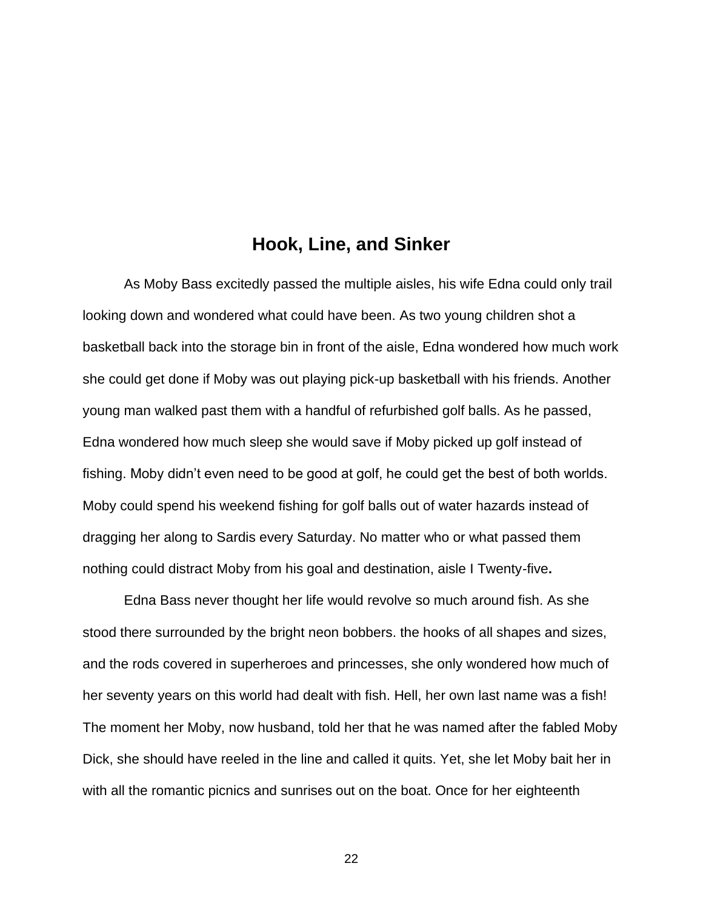### **Hook, Line, and Sinker**

As Moby Bass excitedly passed the multiple aisles, his wife Edna could only trail looking down and wondered what could have been. As two young children shot a basketball back into the storage bin in front of the aisle, Edna wondered how much work she could get done if Moby was out playing pick-up basketball with his friends. Another young man walked past them with a handful of refurbished golf balls. As he passed, Edna wondered how much sleep she would save if Moby picked up golf instead of fishing. Moby didn't even need to be good at golf, he could get the best of both worlds. Moby could spend his weekend fishing for golf balls out of water hazards instead of dragging her along to Sardis every Saturday. No matter who or what passed them nothing could distract Moby from his goal and destination, aisle I Twenty-five**.**

Edna Bass never thought her life would revolve so much around fish. As she stood there surrounded by the bright neon bobbers. the hooks of all shapes and sizes, and the rods covered in superheroes and princesses, she only wondered how much of her seventy years on this world had dealt with fish. Hell, her own last name was a fish! The moment her Moby, now husband, told her that he was named after the fabled Moby Dick, she should have reeled in the line and called it quits. Yet, she let Moby bait her in with all the romantic picnics and sunrises out on the boat. Once for her eighteenth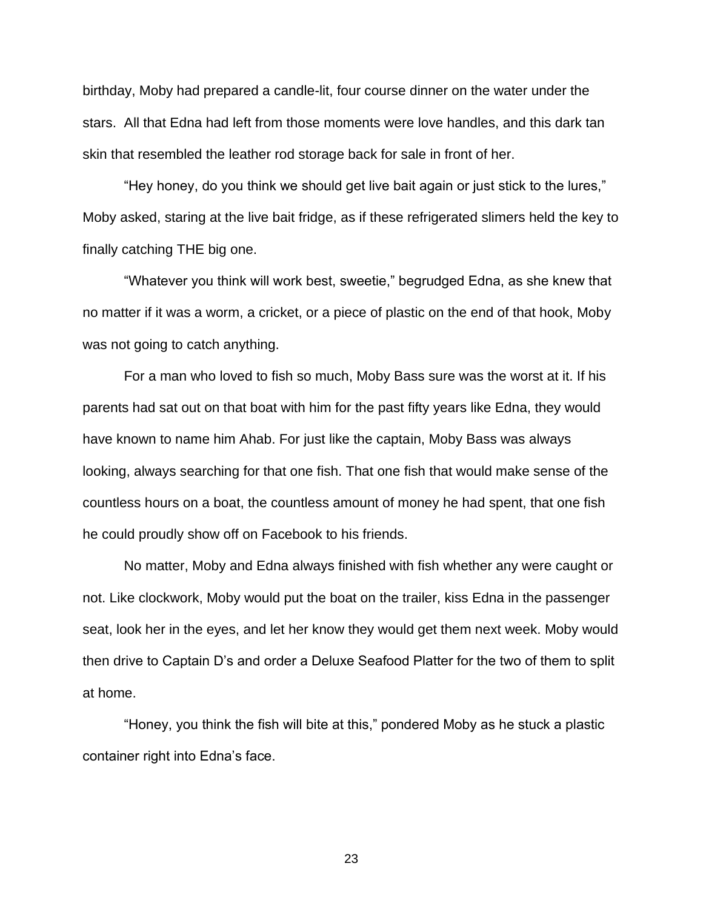birthday, Moby had prepared a candle-lit, four course dinner on the water under the stars. All that Edna had left from those moments were love handles, and this dark tan skin that resembled the leather rod storage back for sale in front of her.

"Hey honey, do you think we should get live bait again or just stick to the lures," Moby asked, staring at the live bait fridge, as if these refrigerated slimers held the key to finally catching THE big one.

"Whatever you think will work best, sweetie," begrudged Edna, as she knew that no matter if it was a worm, a cricket, or a piece of plastic on the end of that hook, Moby was not going to catch anything.

For a man who loved to fish so much, Moby Bass sure was the worst at it. If his parents had sat out on that boat with him for the past fifty years like Edna, they would have known to name him Ahab. For just like the captain, Moby Bass was always looking, always searching for that one fish. That one fish that would make sense of the countless hours on a boat, the countless amount of money he had spent, that one fish he could proudly show off on Facebook to his friends.

No matter, Moby and Edna always finished with fish whether any were caught or not. Like clockwork, Moby would put the boat on the trailer, kiss Edna in the passenger seat, look her in the eyes, and let her know they would get them next week. Moby would then drive to Captain D's and order a Deluxe Seafood Platter for the two of them to split at home.

"Honey, you think the fish will bite at this," pondered Moby as he stuck a plastic container right into Edna's face.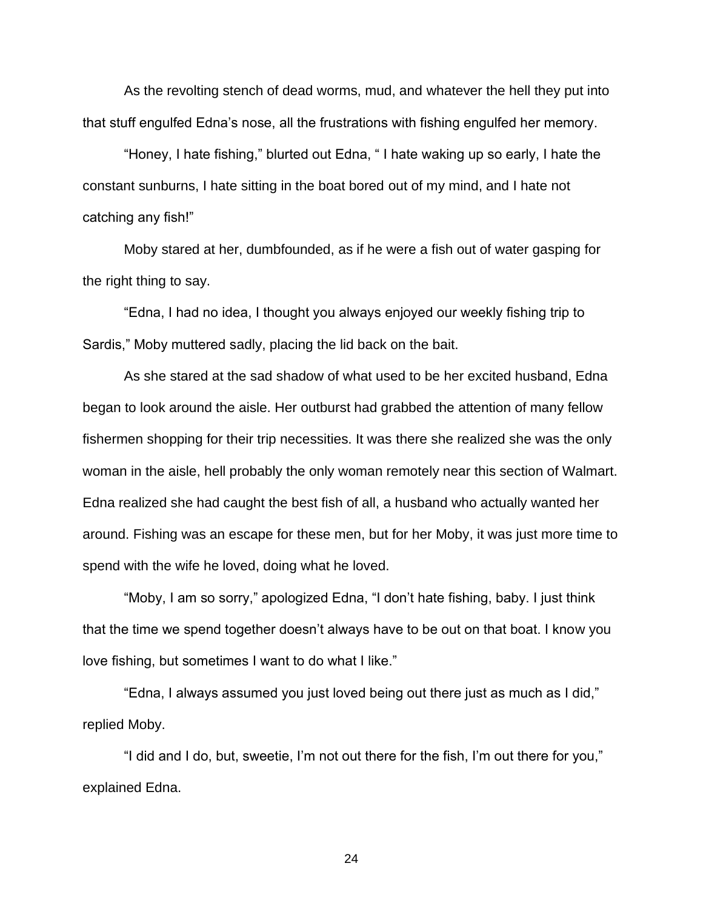As the revolting stench of dead worms, mud, and whatever the hell they put into that stuff engulfed Edna's nose, all the frustrations with fishing engulfed her memory.

"Honey, I hate fishing," blurted out Edna, " I hate waking up so early, I hate the constant sunburns, I hate sitting in the boat bored out of my mind, and I hate not catching any fish!"

Moby stared at her, dumbfounded, as if he were a fish out of water gasping for the right thing to say.

"Edna, I had no idea, I thought you always enjoyed our weekly fishing trip to Sardis," Moby muttered sadly, placing the lid back on the bait.

As she stared at the sad shadow of what used to be her excited husband, Edna began to look around the aisle. Her outburst had grabbed the attention of many fellow fishermen shopping for their trip necessities. It was there she realized she was the only woman in the aisle, hell probably the only woman remotely near this section of Walmart. Edna realized she had caught the best fish of all, a husband who actually wanted her around. Fishing was an escape for these men, but for her Moby, it was just more time to spend with the wife he loved, doing what he loved.

"Moby, I am so sorry," apologized Edna, "I don't hate fishing, baby. I just think that the time we spend together doesn't always have to be out on that boat. I know you love fishing, but sometimes I want to do what I like."

"Edna, I always assumed you just loved being out there just as much as I did," replied Moby.

"I did and I do, but, sweetie, I'm not out there for the fish, I'm out there for you," explained Edna.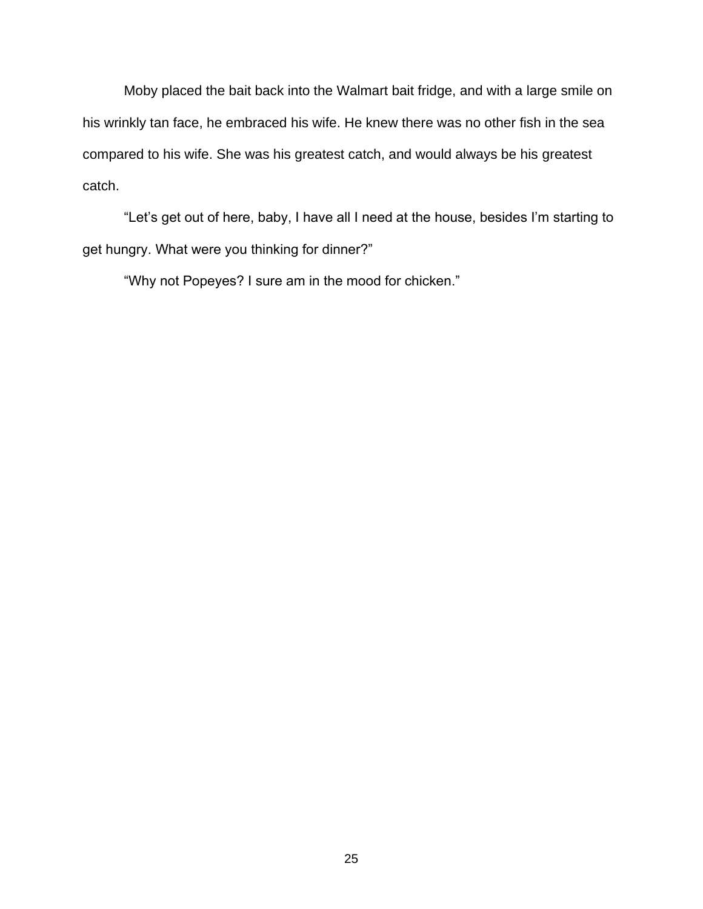Moby placed the bait back into the Walmart bait fridge, and with a large smile on his wrinkly tan face, he embraced his wife. He knew there was no other fish in the sea compared to his wife. She was his greatest catch, and would always be his greatest catch.

"Let's get out of here, baby, I have all I need at the house, besides I'm starting to get hungry. What were you thinking for dinner?"

"Why not Popeyes? I sure am in the mood for chicken."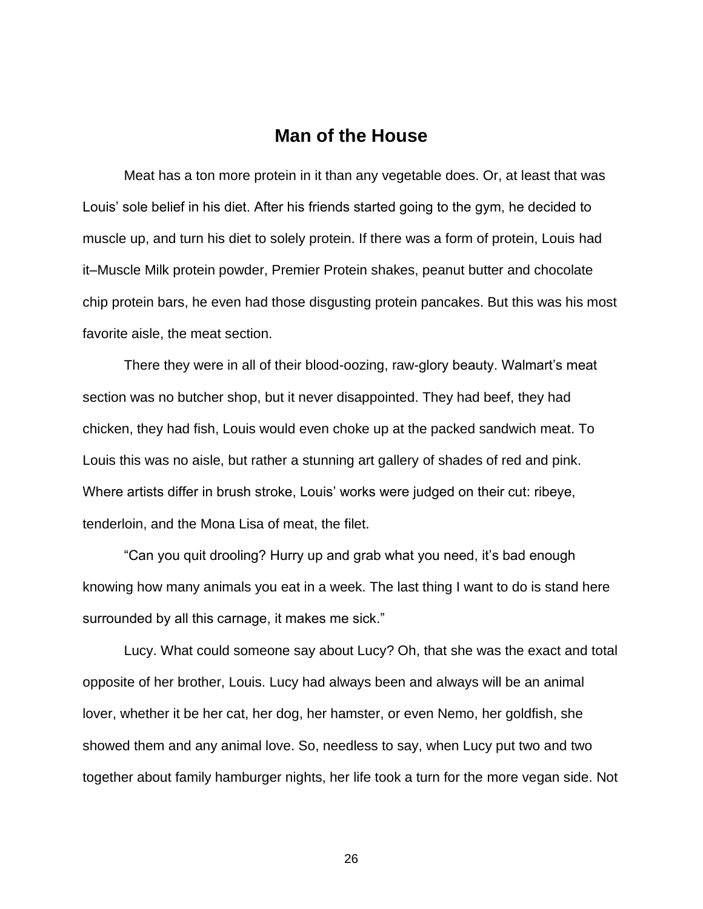### **Man of the House**

Meat has a ton more protein in it than any vegetable does. Or, at least that was Louis' sole belief in his diet. After his friends started going to the gym, he decided to muscle up, and turn his diet to solely protein. If there was a form of protein, Louis had it–Muscle Milk protein powder, Premier Protein shakes, peanut butter and chocolate chip protein bars, he even had those disgusting protein pancakes. But this was his most favorite aisle, the meat section.

There they were in all of their blood-oozing, raw-glory beauty. Walmart's meat section was no butcher shop, but it never disappointed. They had beef, they had chicken, they had fish, Louis would even choke up at the packed sandwich meat. To Louis this was no aisle, but rather a stunning art gallery of shades of red and pink. Where artists differ in brush stroke, Louis' works were judged on their cut: ribeye, tenderloin, and the Mona Lisa of meat, the filet.

"Can you quit drooling? Hurry up and grab what you need, it's bad enough knowing how many animals you eat in a week. The last thing I want to do is stand here surrounded by all this carnage, it makes me sick."

Lucy. What could someone say about Lucy? Oh, that she was the exact and total opposite of her brother, Louis. Lucy had always been and always will be an animal lover, whether it be her cat, her dog, her hamster, or even Nemo, her goldfish, she showed them and any animal love. So, needless to say, when Lucy put two and two together about family hamburger nights, her life took a turn for the more vegan side. Not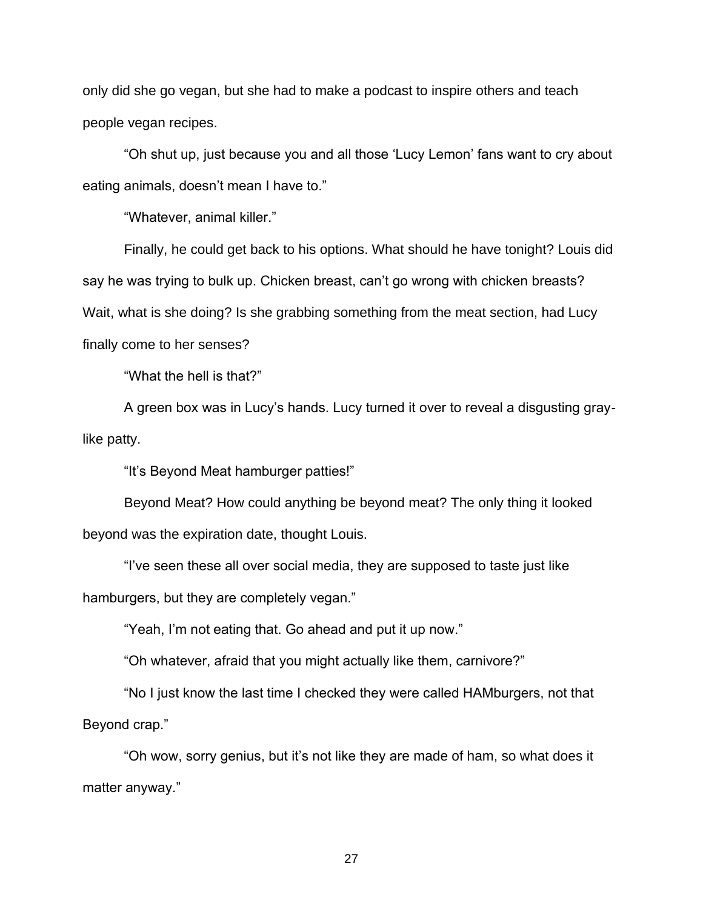only did she go vegan, but she had to make a podcast to inspire others and teach people vegan recipes.

"Oh shut up, just because you and all those 'Lucy Lemon' fans want to cry about eating animals, doesn't mean I have to."

"Whatever, animal killer."

Finally, he could get back to his options. What should he have tonight? Louis did say he was trying to bulk up. Chicken breast, can't go wrong with chicken breasts? Wait, what is she doing? Is she grabbing something from the meat section, had Lucy finally come to her senses?

"What the hell is that?"

A green box was in Lucy's hands. Lucy turned it over to reveal a disgusting graylike patty.

"It's Beyond Meat hamburger patties!"

Beyond Meat? How could anything be beyond meat? The only thing it looked beyond was the expiration date, thought Louis.

"I've seen these all over social media, they are supposed to taste just like hamburgers, but they are completely vegan."

"Yeah, I'm not eating that. Go ahead and put it up now."

"Oh whatever, afraid that you might actually like them, carnivore?"

"No I just know the last time I checked they were called HAMburgers, not that Beyond crap."

"Oh wow, sorry genius, but it's not like they are made of ham, so what does it matter anyway."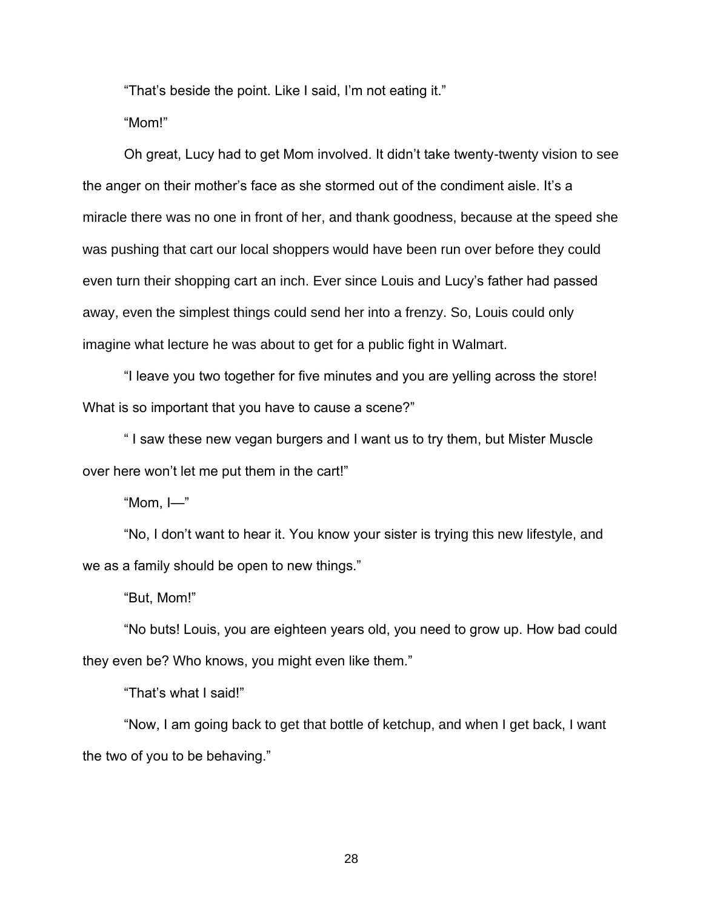"That's beside the point. Like I said, I'm not eating it."

"Mom!"

Oh great, Lucy had to get Mom involved. It didn't take twenty-twenty vision to see the anger on their mother's face as she stormed out of the condiment aisle. It's a miracle there was no one in front of her, and thank goodness, because at the speed she was pushing that cart our local shoppers would have been run over before they could even turn their shopping cart an inch. Ever since Louis and Lucy's father had passed away, even the simplest things could send her into a frenzy. So, Louis could only imagine what lecture he was about to get for a public fight in Walmart.

"I leave you two together for five minutes and you are yelling across the store! What is so important that you have to cause a scene?"

" I saw these new vegan burgers and I want us to try them, but Mister Muscle over here won't let me put them in the cart!"

"Mom, I—"

"No, I don't want to hear it. You know your sister is trying this new lifestyle, and we as a family should be open to new things."

"But, Mom!"

"No buts! Louis, you are eighteen years old, you need to grow up. How bad could they even be? Who knows, you might even like them."

"That's what I said!"

"Now, I am going back to get that bottle of ketchup, and when I get back, I want the two of you to be behaving."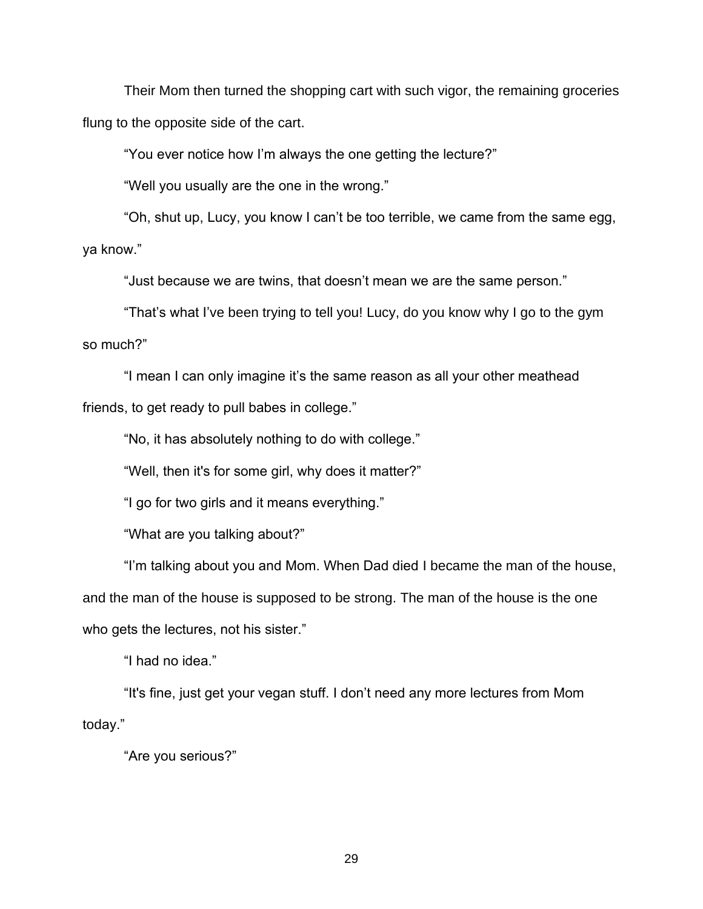Their Mom then turned the shopping cart with such vigor, the remaining groceries flung to the opposite side of the cart.

"You ever notice how I'm always the one getting the lecture?"

"Well you usually are the one in the wrong."

"Oh, shut up, Lucy, you know I can't be too terrible, we came from the same egg, ya know."

"Just because we are twins, that doesn't mean we are the same person."

"That's what I've been trying to tell you! Lucy, do you know why I go to the gym so much?"

"I mean I can only imagine it's the same reason as all your other meathead friends, to get ready to pull babes in college."

"No, it has absolutely nothing to do with college."

"Well, then it's for some girl, why does it matter?"

"I go for two girls and it means everything."

"What are you talking about?"

"I'm talking about you and Mom. When Dad died I became the man of the house, and the man of the house is supposed to be strong. The man of the house is the one who gets the lectures, not his sister."

"I had no idea."

"It's fine, just get your vegan stuff. I don't need any more lectures from Mom today."

"Are you serious?"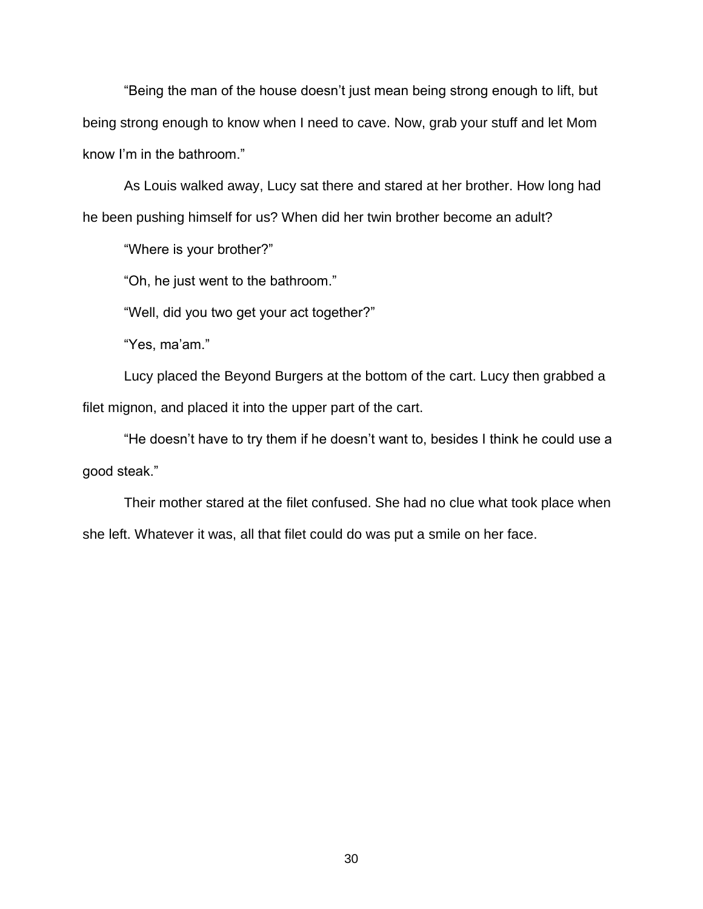"Being the man of the house doesn't just mean being strong enough to lift, but being strong enough to know when I need to cave. Now, grab your stuff and let Mom know I'm in the bathroom."

As Louis walked away, Lucy sat there and stared at her brother. How long had he been pushing himself for us? When did her twin brother become an adult?

"Where is your brother?"

"Oh, he just went to the bathroom."

"Well, did you two get your act together?"

"Yes, ma'am."

Lucy placed the Beyond Burgers at the bottom of the cart. Lucy then grabbed a filet mignon, and placed it into the upper part of the cart.

"He doesn't have to try them if he doesn't want to, besides I think he could use a good steak."

Their mother stared at the filet confused. She had no clue what took place when she left. Whatever it was, all that filet could do was put a smile on her face.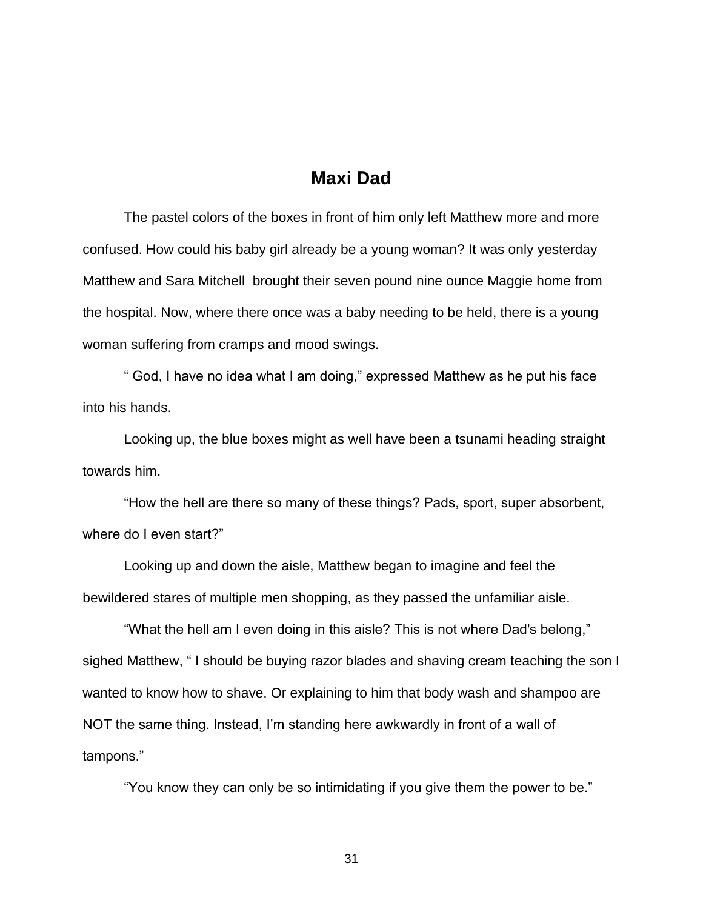### **Maxi Dad**

The pastel colors of the boxes in front of him only left Matthew more and more confused. How could his baby girl already be a young woman? It was only yesterday Matthew and Sara Mitchell brought their seven pound nine ounce Maggie home from the hospital. Now, where there once was a baby needing to be held, there is a young woman suffering from cramps and mood swings.

 " God, I have no idea what I am doing," expressed Matthew as he put his face into his hands.

 Looking up, the blue boxes might as well have been a tsunami heading straight towards him.

 "How the hell are there so many of these things? Pads, sport, super absorbent, where do I even start?"

Looking up and down the aisle, Matthew began to imagine and feel the bewildered stares of multiple men shopping, as they passed the unfamiliar aisle.

 "What the hell am I even doing in this aisle? This is not where Dad's belong," sighed Matthew, " I should be buying razor blades and shaving cream teaching the son I wanted to know how to shave. Or explaining to him that body wash and shampoo are NOT the same thing. Instead, I'm standing here awkwardly in front of a wall of tampons."

"You know they can only be so intimidating if you give them the power to be."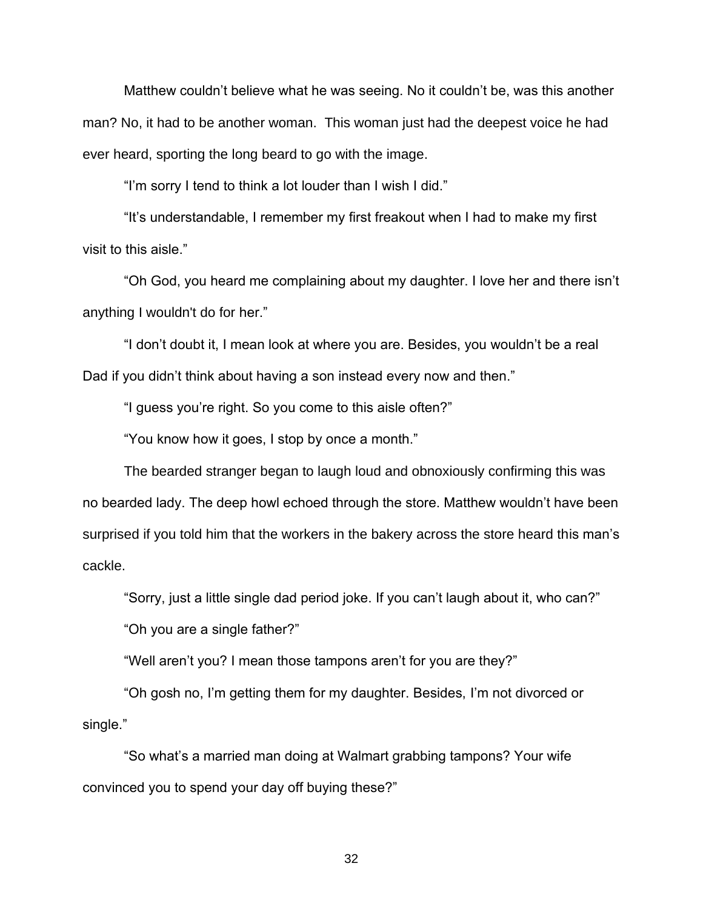Matthew couldn't believe what he was seeing. No it couldn't be, was this another man? No, it had to be another woman. This woman just had the deepest voice he had ever heard, sporting the long beard to go with the image.

"I'm sorry I tend to think a lot louder than I wish I did."

"It's understandable, I remember my first freakout when I had to make my first visit to this aisle."

"Oh God, you heard me complaining about my daughter. I love her and there isn't anything I wouldn't do for her."

"I don't doubt it, I mean look at where you are. Besides, you wouldn't be a real Dad if you didn't think about having a son instead every now and then."

"I guess you're right. So you come to this aisle often?"

"You know how it goes, I stop by once a month."

The bearded stranger began to laugh loud and obnoxiously confirming this was no bearded lady. The deep howl echoed through the store. Matthew wouldn't have been surprised if you told him that the workers in the bakery across the store heard this man's cackle.

"Sorry, just a little single dad period joke. If you can't laugh about it, who can?"

"Oh you are a single father?"

"Well aren't you? I mean those tampons aren't for you are they?"

"Oh gosh no, I'm getting them for my daughter. Besides, I'm not divorced or single."

"So what's a married man doing at Walmart grabbing tampons? Your wife convinced you to spend your day off buying these?"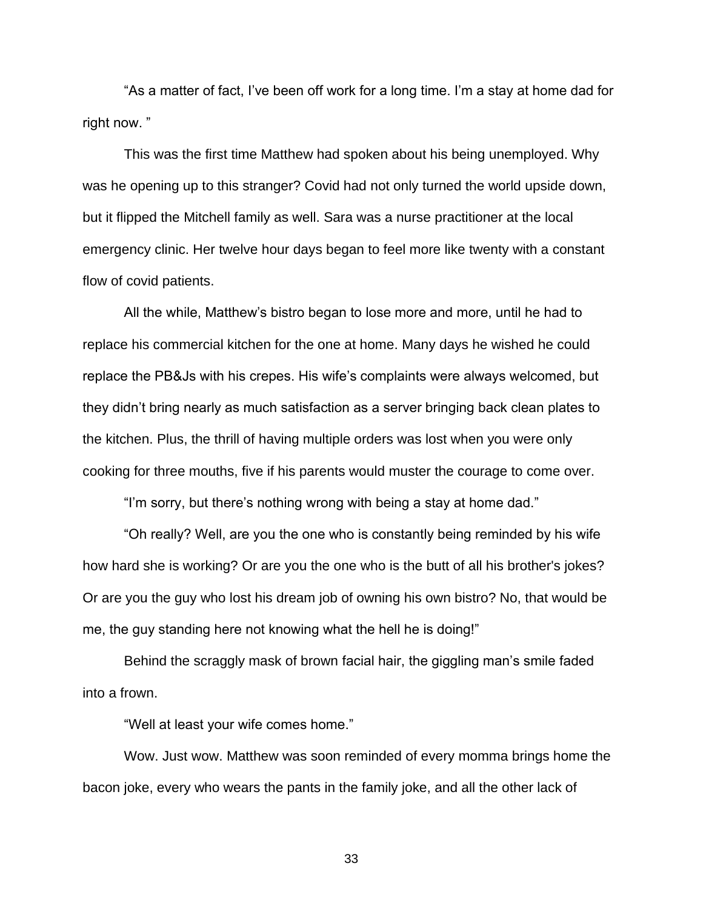"As a matter of fact, I've been off work for a long time. I'm a stay at home dad for right now. "

This was the first time Matthew had spoken about his being unemployed. Why was he opening up to this stranger? Covid had not only turned the world upside down, but it flipped the Mitchell family as well. Sara was a nurse practitioner at the local emergency clinic. Her twelve hour days began to feel more like twenty with a constant flow of covid patients.

All the while, Matthew's bistro began to lose more and more, until he had to replace his commercial kitchen for the one at home. Many days he wished he could replace the PB&Js with his crepes. His wife's complaints were always welcomed, but they didn't bring nearly as much satisfaction as a server bringing back clean plates to the kitchen. Plus, the thrill of having multiple orders was lost when you were only cooking for three mouths, five if his parents would muster the courage to come over.

"I'm sorry, but there's nothing wrong with being a stay at home dad."

"Oh really? Well, are you the one who is constantly being reminded by his wife how hard she is working? Or are you the one who is the butt of all his brother's jokes? Or are you the guy who lost his dream job of owning his own bistro? No, that would be me, the guy standing here not knowing what the hell he is doing!"

Behind the scraggly mask of brown facial hair, the giggling man's smile faded into a frown.

"Well at least your wife comes home."

Wow. Just wow. Matthew was soon reminded of every momma brings home the bacon joke, every who wears the pants in the family joke, and all the other lack of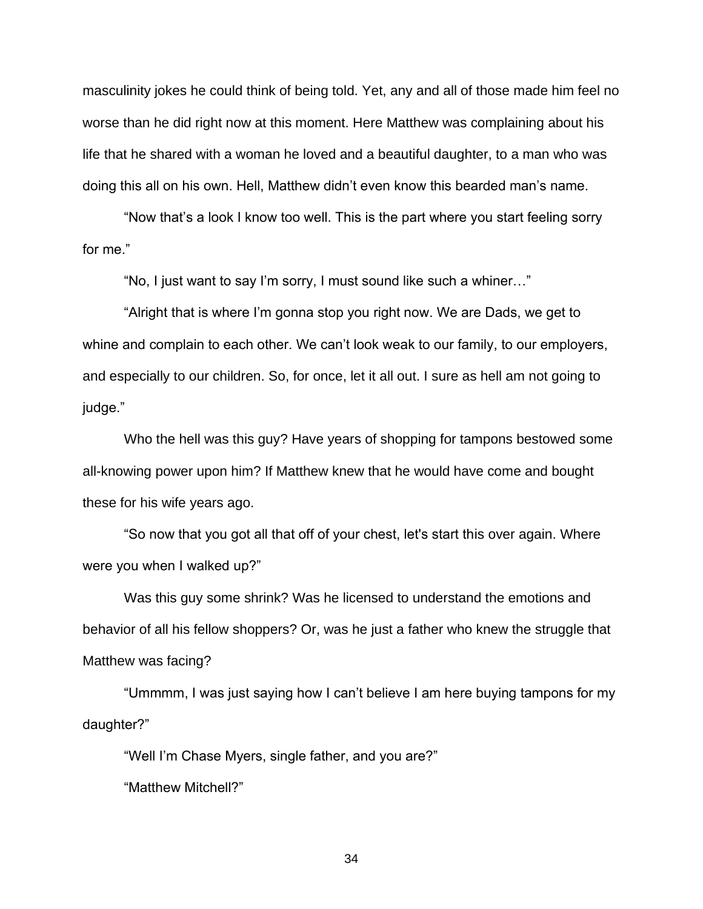masculinity jokes he could think of being told. Yet, any and all of those made him feel no worse than he did right now at this moment. Here Matthew was complaining about his life that he shared with a woman he loved and a beautiful daughter, to a man who was doing this all on his own. Hell, Matthew didn't even know this bearded man's name.

"Now that's a look I know too well. This is the part where you start feeling sorry for me."

"No, I just want to say I'm sorry, I must sound like such a whiner…"

"Alright that is where I'm gonna stop you right now. We are Dads, we get to whine and complain to each other. We can't look weak to our family, to our employers, and especially to our children. So, for once, let it all out. I sure as hell am not going to judge."

Who the hell was this guy? Have years of shopping for tampons bestowed some all-knowing power upon him? If Matthew knew that he would have come and bought these for his wife years ago.

"So now that you got all that off of your chest, let's start this over again. Where were you when I walked up?"

Was this guy some shrink? Was he licensed to understand the emotions and behavior of all his fellow shoppers? Or, was he just a father who knew the struggle that Matthew was facing?

"Ummmm, I was just saying how I can't believe I am here buying tampons for my daughter?"

"Well I'm Chase Myers, single father, and you are?"

"Matthew Mitchell?"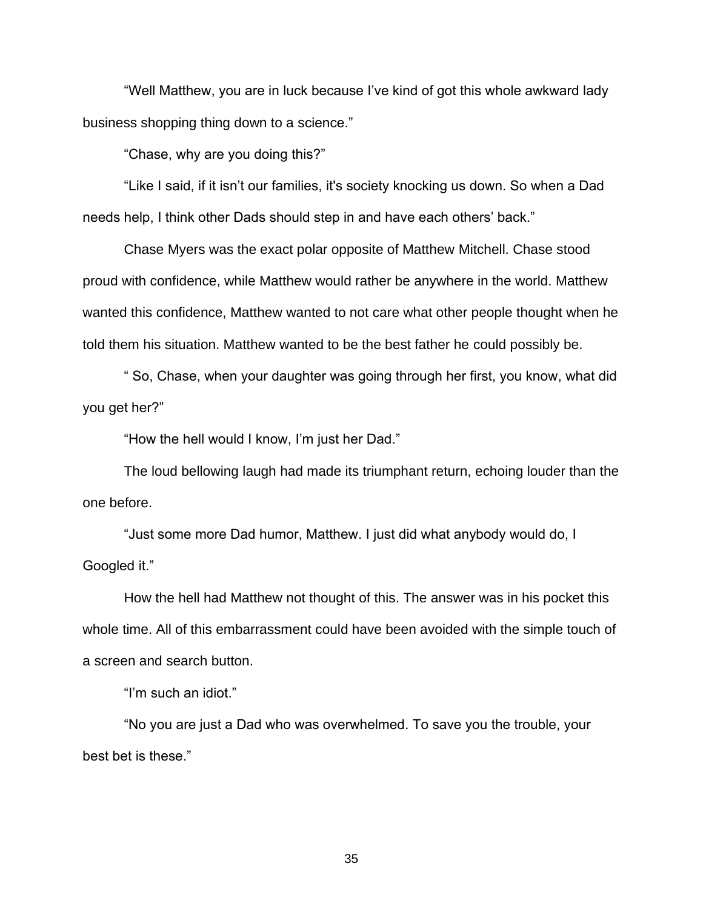"Well Matthew, you are in luck because I've kind of got this whole awkward lady business shopping thing down to a science."

"Chase, why are you doing this?"

"Like I said, if it isn't our families, it's society knocking us down. So when a Dad needs help, I think other Dads should step in and have each others' back."

Chase Myers was the exact polar opposite of Matthew Mitchell. Chase stood proud with confidence, while Matthew would rather be anywhere in the world. Matthew wanted this confidence, Matthew wanted to not care what other people thought when he told them his situation. Matthew wanted to be the best father he could possibly be.

" So, Chase, when your daughter was going through her first, you know, what did you get her?"

"How the hell would I know, I'm just her Dad."

The loud bellowing laugh had made its triumphant return, echoing louder than the one before.

"Just some more Dad humor, Matthew. I just did what anybody would do, I Googled it."

How the hell had Matthew not thought of this. The answer was in his pocket this whole time. All of this embarrassment could have been avoided with the simple touch of a screen and search button.

"I'm such an idiot."

"No you are just a Dad who was overwhelmed. To save you the trouble, your best bet is these."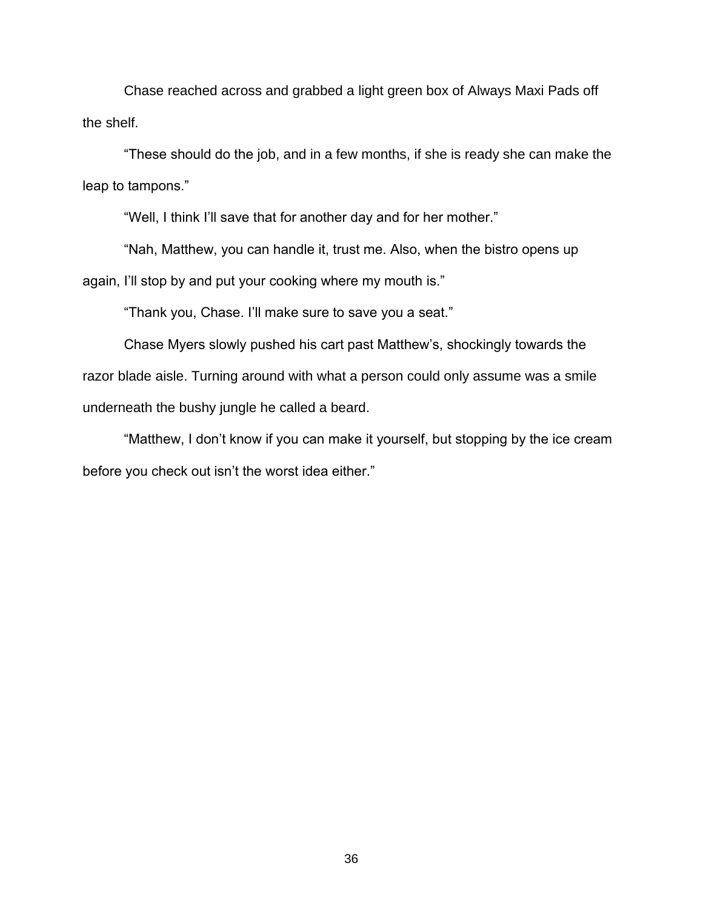Chase reached across and grabbed a light green box of Always Maxi Pads off the shelf.

"These should do the job, and in a few months, if she is ready she can make the leap to tampons."

"Well, I think I'll save that for another day and for her mother."

"Nah, Matthew, you can handle it, trust me. Also, when the bistro opens up again, I'll stop by and put your cooking where my mouth is."

"Thank you, Chase. I'll make sure to save you a seat."

Chase Myers slowly pushed his cart past Matthew's, shockingly towards the razor blade aisle. Turning around with what a person could only assume was a smile underneath the bushy jungle he called a beard.

"Matthew, I don't know if you can make it yourself, but stopping by the ice cream before you check out isn't the worst idea either."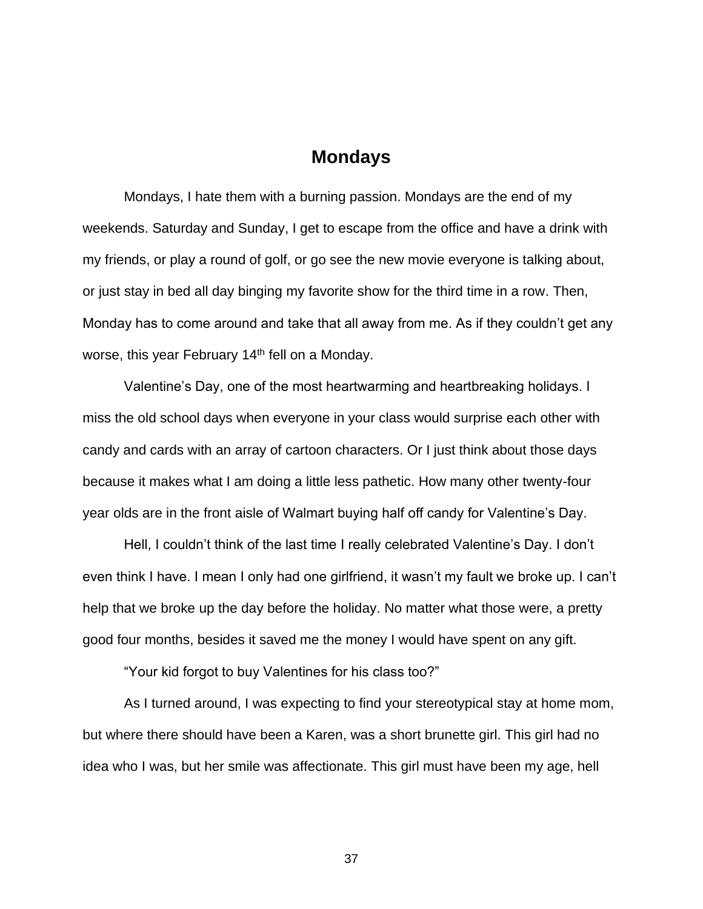### **Mondays**

Mondays, I hate them with a burning passion. Mondays are the end of my weekends. Saturday and Sunday, I get to escape from the office and have a drink with my friends, or play a round of golf, or go see the new movie everyone is talking about, or just stay in bed all day binging my favorite show for the third time in a row. Then, Monday has to come around and take that all away from me. As if they couldn't get any worse, this year February 14<sup>th</sup> fell on a Monday.

 Valentine's Day, one of the most heartwarming and heartbreaking holidays. I miss the old school days when everyone in your class would surprise each other with candy and cards with an array of cartoon characters. Or I just think about those days because it makes what I am doing a little less pathetic. How many other twenty-four year olds are in the front aisle of Walmart buying half off candy for Valentine's Day.

Hell, I couldn't think of the last time I really celebrated Valentine's Day. I don't even think I have. I mean I only had one girlfriend, it wasn't my fault we broke up. I can't help that we broke up the day before the holiday. No matter what those were, a pretty good four months, besides it saved me the money I would have spent on any gift.

"Your kid forgot to buy Valentines for his class too?"

 As I turned around, I was expecting to find your stereotypical stay at home mom, but where there should have been a Karen, was a short brunette girl. This girl had no idea who I was, but her smile was affectionate. This girl must have been my age, hell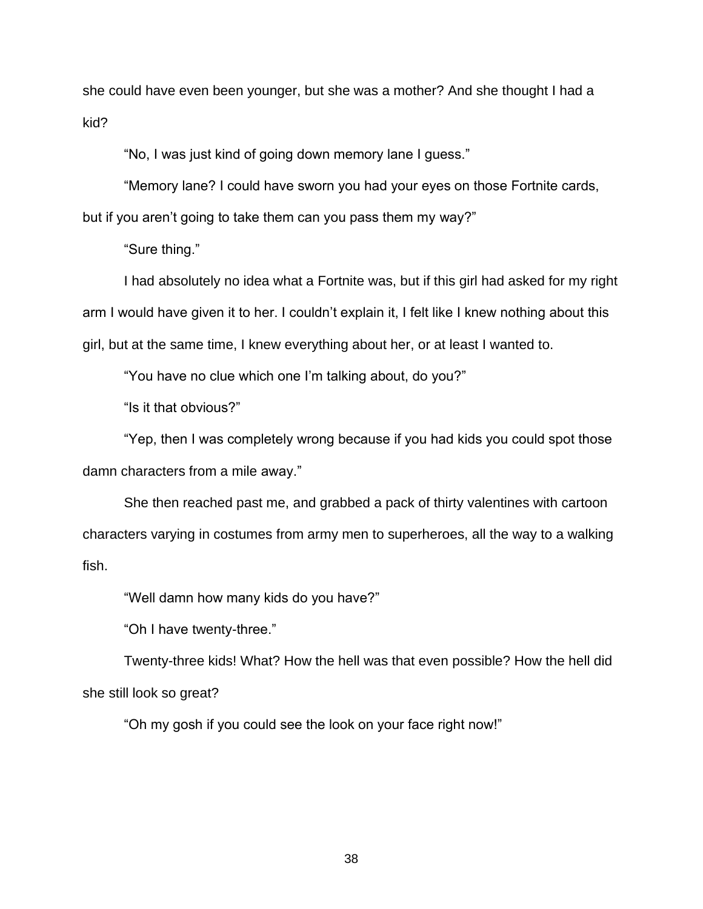she could have even been younger, but she was a mother? And she thought I had a kid?

"No, I was just kind of going down memory lane I guess."

 "Memory lane? I could have sworn you had your eyes on those Fortnite cards, but if you aren't going to take them can you pass them my way?"

"Sure thing."

 I had absolutely no idea what a Fortnite was, but if this girl had asked for my right arm I would have given it to her. I couldn't explain it, I felt like I knew nothing about this girl, but at the same time, I knew everything about her, or at least I wanted to.

"You have no clue which one I'm talking about, do you?"

"Is it that obvious?"

 "Yep, then I was completely wrong because if you had kids you could spot those damn characters from a mile away."

 She then reached past me, and grabbed a pack of thirty valentines with cartoon characters varying in costumes from army men to superheroes, all the way to a walking fish.

"Well damn how many kids do you have?"

"Oh I have twenty-three."

 Twenty-three kids! What? How the hell was that even possible? How the hell did she still look so great?

"Oh my gosh if you could see the look on your face right now!"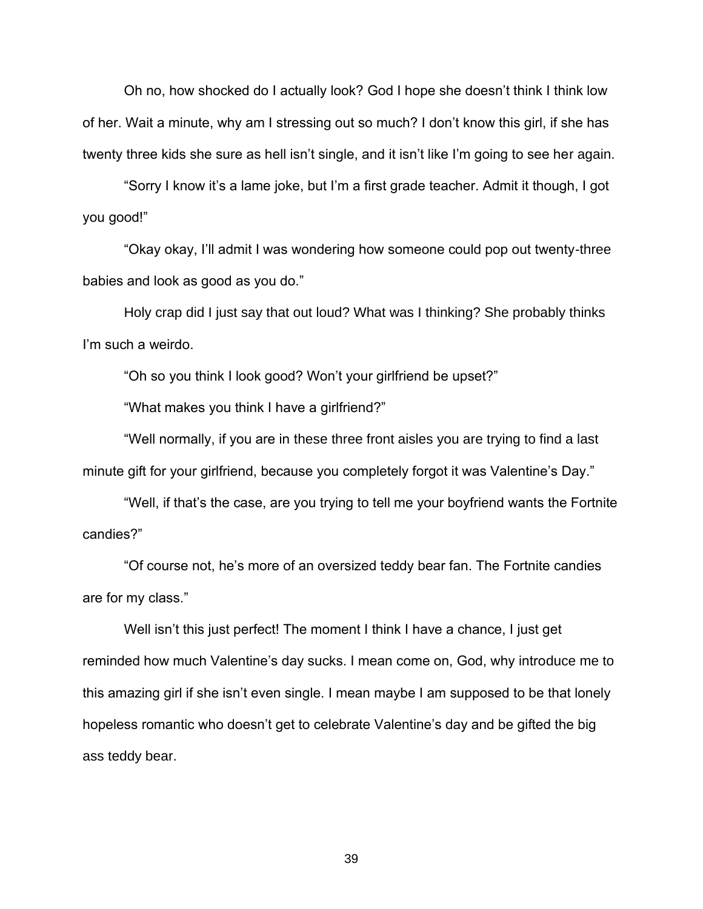Oh no, how shocked do I actually look? God I hope she doesn't think I think low of her. Wait a minute, why am I stressing out so much? I don't know this girl, if she has twenty three kids she sure as hell isn't single, and it isn't like I'm going to see her again.

 "Sorry I know it's a lame joke, but I'm a first grade teacher. Admit it though, I got you good!"

 "Okay okay, I'll admit I was wondering how someone could pop out twenty-three babies and look as good as you do."

 Holy crap did I just say that out loud? What was I thinking? She probably thinks I'm such a weirdo.

"Oh so you think I look good? Won't your girlfriend be upset?"

"What makes you think I have a girlfriend?"

 "Well normally, if you are in these three front aisles you are trying to find a last minute gift for your girlfriend, because you completely forgot it was Valentine's Day."

 "Well, if that's the case, are you trying to tell me your boyfriend wants the Fortnite candies?"

 "Of course not, he's more of an oversized teddy bear fan. The Fortnite candies are for my class."

Well isn't this just perfect! The moment I think I have a chance, I just get reminded how much Valentine's day sucks. I mean come on, God, why introduce me to this amazing girl if she isn't even single. I mean maybe I am supposed to be that lonely hopeless romantic who doesn't get to celebrate Valentine's day and be gifted the big ass teddy bear.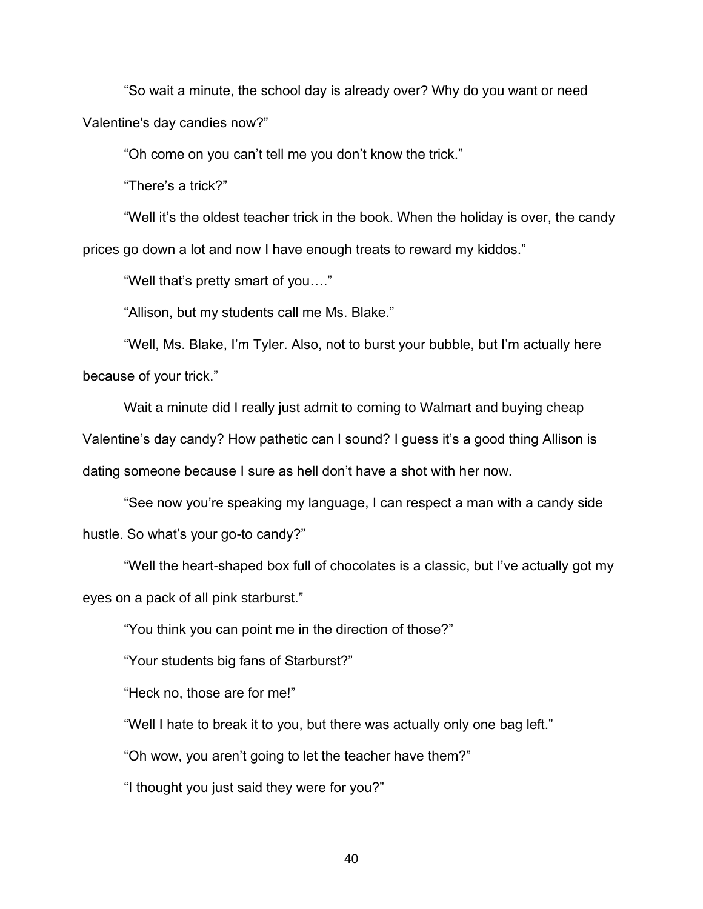"So wait a minute, the school day is already over? Why do you want or need Valentine's day candies now?"

"Oh come on you can't tell me you don't know the trick."

"There's a trick?"

 "Well it's the oldest teacher trick in the book. When the holiday is over, the candy prices go down a lot and now I have enough treats to reward my kiddos."

"Well that's pretty smart of you…."

"Allison, but my students call me Ms. Blake."

 "Well, Ms. Blake, I'm Tyler. Also, not to burst your bubble, but I'm actually here because of your trick."

 Wait a minute did I really just admit to coming to Walmart and buying cheap Valentine's day candy? How pathetic can I sound? I guess it's a good thing Allison is dating someone because I sure as hell don't have a shot with her now.

 "See now you're speaking my language, I can respect a man with a candy side hustle. So what's your go-to candy?"

 "Well the heart-shaped box full of chocolates is a classic, but I've actually got my eyes on a pack of all pink starburst."

"You think you can point me in the direction of those?"

"Your students big fans of Starburst?"

"Heck no, those are for me!"

"Well I hate to break it to you, but there was actually only one bag left."

"Oh wow, you aren't going to let the teacher have them?"

"I thought you just said they were for you?"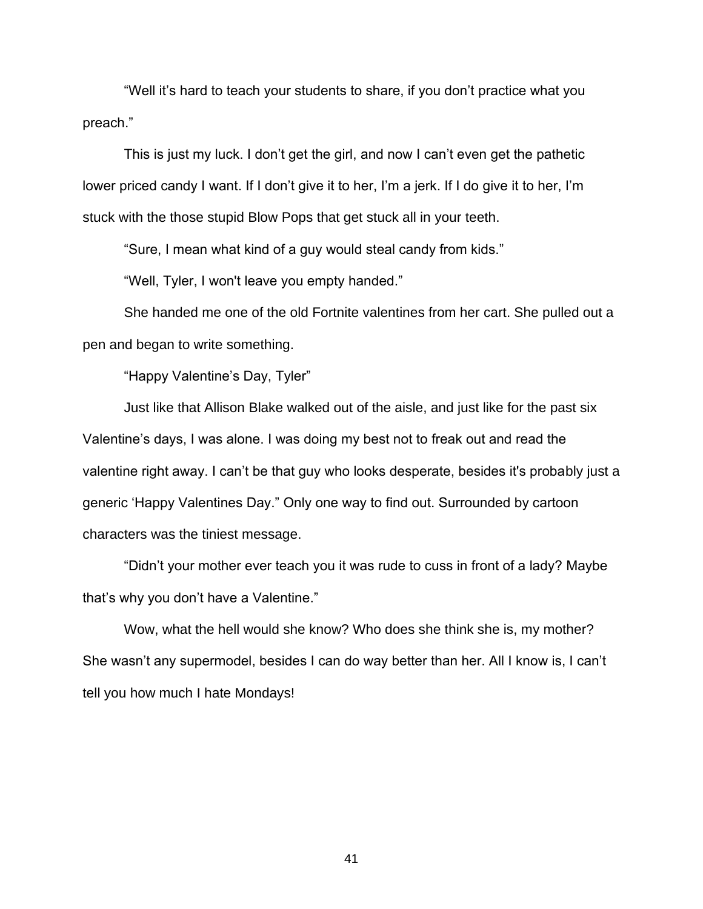"Well it's hard to teach your students to share, if you don't practice what you preach."

 This is just my luck. I don't get the girl, and now I can't even get the pathetic lower priced candy I want. If I don't give it to her, I'm a jerk. If I do give it to her, I'm stuck with the those stupid Blow Pops that get stuck all in your teeth.

"Sure, I mean what kind of a guy would steal candy from kids."

"Well, Tyler, I won't leave you empty handed."

 She handed me one of the old Fortnite valentines from her cart. She pulled out a pen and began to write something.

"Happy Valentine's Day, Tyler"

 Just like that Allison Blake walked out of the aisle, and just like for the past six Valentine's days, I was alone. I was doing my best not to freak out and read the valentine right away. I can't be that guy who looks desperate, besides it's probably just a generic 'Happy Valentines Day." Only one way to find out. Surrounded by cartoon characters was the tiniest message.

 "Didn't your mother ever teach you it was rude to cuss in front of a lady? Maybe that's why you don't have a Valentine."

Wow, what the hell would she know? Who does she think she is, my mother? She wasn't any supermodel, besides I can do way better than her. All I know is, I can't tell you how much I hate Mondays!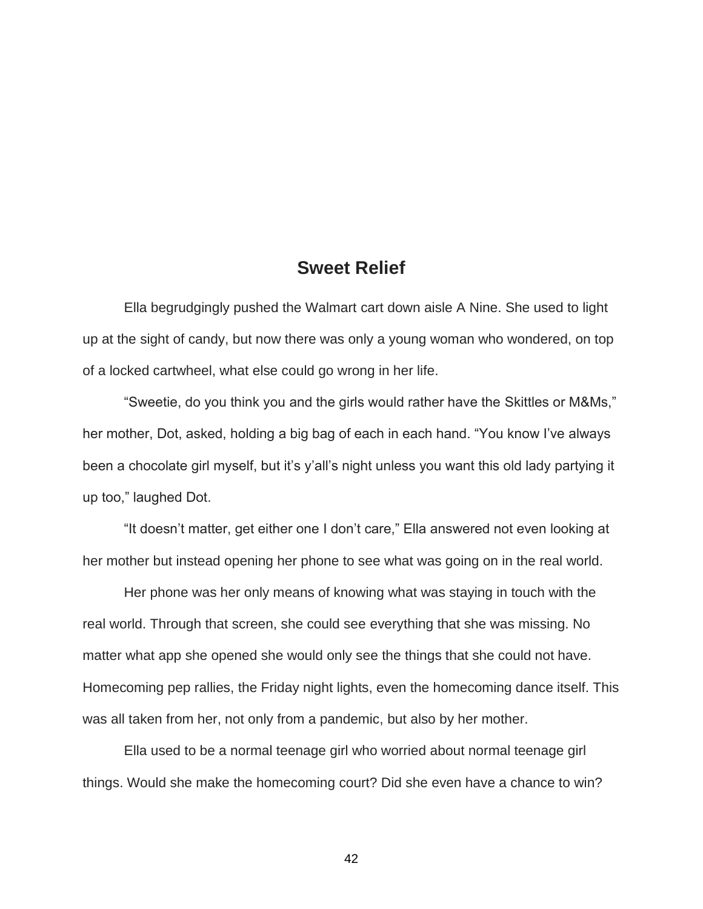## **Sweet Relief**

Ella begrudgingly pushed the Walmart cart down aisle A Nine. She used to light up at the sight of candy, but now there was only a young woman who wondered, on top of a locked cartwheel, what else could go wrong in her life.

"Sweetie, do you think you and the girls would rather have the Skittles or M&Ms," her mother, Dot, asked, holding a big bag of each in each hand. "You know I've always been a chocolate girl myself, but it's y'all's night unless you want this old lady partying it up too," laughed Dot.

"It doesn't matter, get either one I don't care," Ella answered not even looking at her mother but instead opening her phone to see what was going on in the real world.

Her phone was her only means of knowing what was staying in touch with the real world. Through that screen, she could see everything that she was missing. No matter what app she opened she would only see the things that she could not have. Homecoming pep rallies, the Friday night lights, even the homecoming dance itself. This was all taken from her, not only from a pandemic, but also by her mother.

Ella used to be a normal teenage girl who worried about normal teenage girl things. Would she make the homecoming court? Did she even have a chance to win?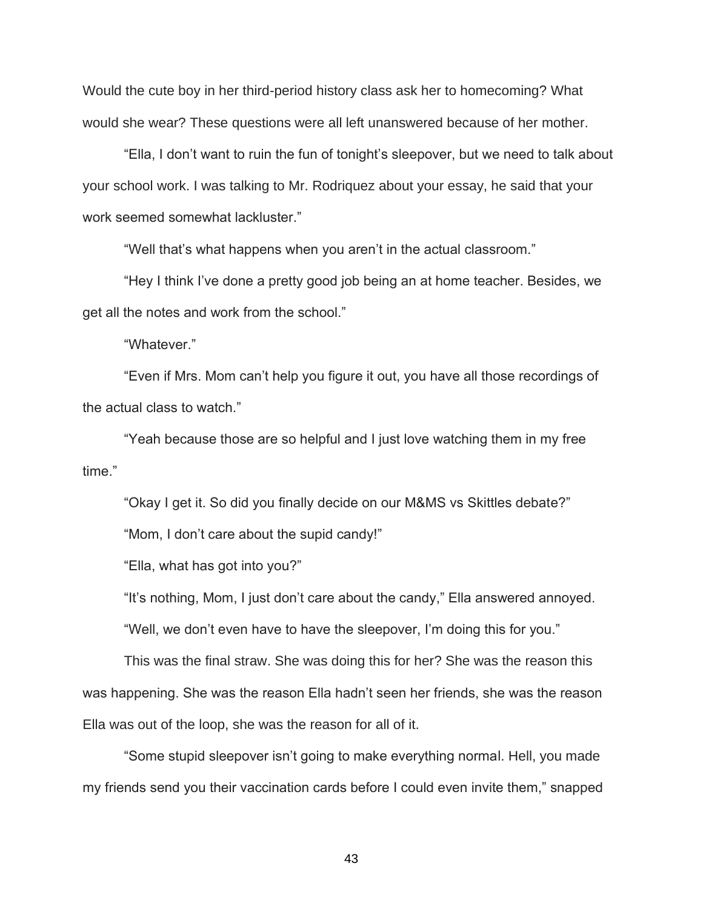Would the cute boy in her third-period history class ask her to homecoming? What would she wear? These questions were all left unanswered because of her mother.

"Ella, I don't want to ruin the fun of tonight's sleepover, but we need to talk about your school work. I was talking to Mr. Rodriquez about your essay, he said that your work seemed somewhat lackluster."

"Well that's what happens when you aren't in the actual classroom."

"Hey I think I've done a pretty good job being an at home teacher. Besides, we get all the notes and work from the school."

"Whatever."

"Even if Mrs. Mom can't help you figure it out, you have all those recordings of the actual class to watch."

"Yeah because those are so helpful and I just love watching them in my free time."

"Okay I get it. So did you finally decide on our M&MS vs Skittles debate?"

"Mom, I don't care about the supid candy!"

"Ella, what has got into you?"

"It's nothing, Mom, I just don't care about the candy," Ella answered annoyed.

"Well, we don't even have to have the sleepover, I'm doing this for you."

This was the final straw. She was doing this for her? She was the reason this was happening. She was the reason Ella hadn't seen her friends, she was the reason Ella was out of the loop, she was the reason for all of it.

"Some stupid sleepover isn't going to make everything normal. Hell, you made my friends send you their vaccination cards before I could even invite them," snapped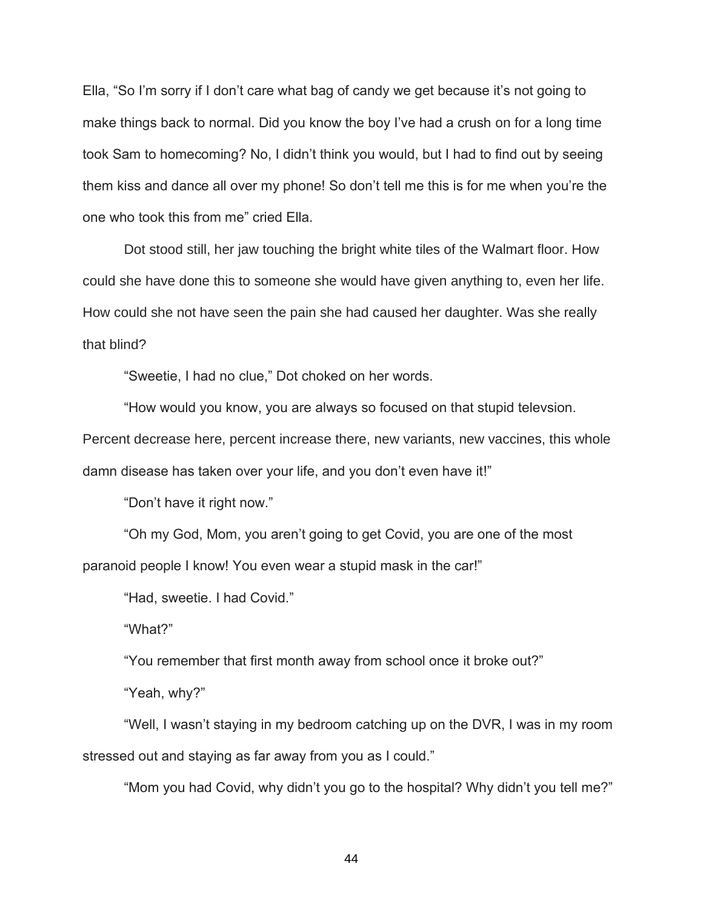Ella, "So I'm sorry if I don't care what bag of candy we get because it's not going to make things back to normal. Did you know the boy I've had a crush on for a long time took Sam to homecoming? No, I didn't think you would, but I had to find out by seeing them kiss and dance all over my phone! So don't tell me this is for me when you're the one who took this from me" cried Ella.

Dot stood still, her jaw touching the bright white tiles of the Walmart floor. How could she have done this to someone she would have given anything to, even her life. How could she not have seen the pain she had caused her daughter. Was she really that blind?

"Sweetie, I had no clue," Dot choked on her words.

"How would you know, you are always so focused on that stupid televsion. Percent decrease here, percent increase there, new variants, new vaccines, this whole damn disease has taken over your life, and you don't even have it!"

"Don't have it right now."

"Oh my God, Mom, you aren't going to get Covid, you are one of the most paranoid people I know! You even wear a stupid mask in the car!"

"Had, sweetie. I had Covid."

"What?"

"You remember that first month away from school once it broke out?"

"Yeah, why?"

"Well, I wasn't staying in my bedroom catching up on the DVR, I was in my room stressed out and staying as far away from you as I could."

"Mom you had Covid, why didn't you go to the hospital? Why didn't you tell me?"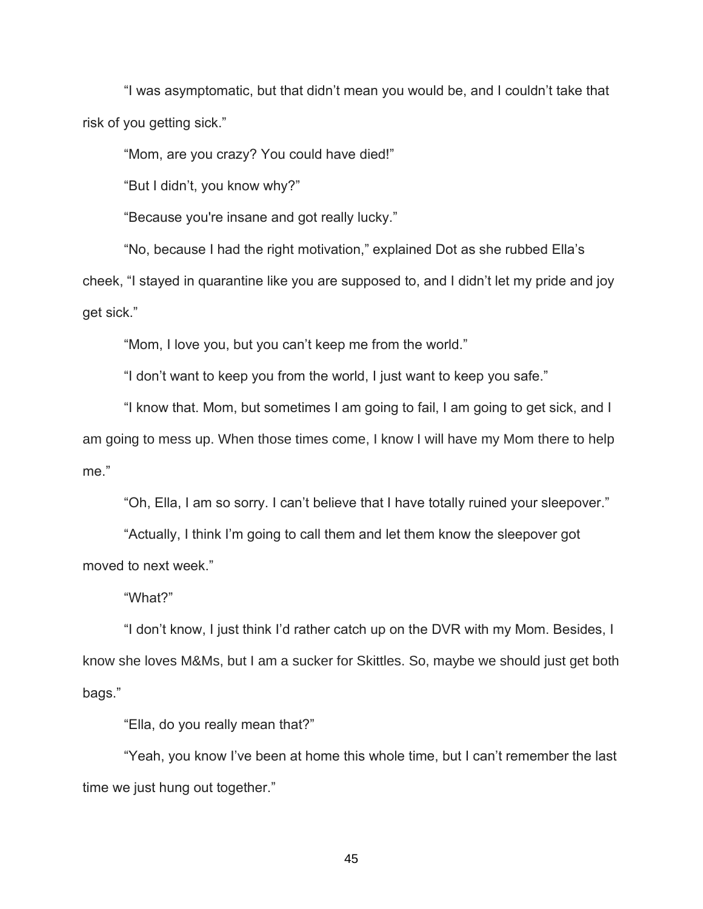"I was asymptomatic, but that didn't mean you would be, and I couldn't take that risk of you getting sick."

"Mom, are you crazy? You could have died!"

"But I didn't, you know why?"

"Because you're insane and got really lucky."

"No, because I had the right motivation," explained Dot as she rubbed Ella's cheek, "I stayed in quarantine like you are supposed to, and I didn't let my pride and joy get sick."

"Mom, I love you, but you can't keep me from the world."

"I don't want to keep you from the world, I just want to keep you safe."

"I know that. Mom, but sometimes I am going to fail, I am going to get sick, and I am going to mess up. When those times come, I know I will have my Mom there to help me."

"Oh, Ella, I am so sorry. I can't believe that I have totally ruined your sleepover."

"Actually, I think I'm going to call them and let them know the sleepover got moved to next week."

"What?"

"I don't know, I just think I'd rather catch up on the DVR with my Mom. Besides, I know she loves M&Ms, but I am a sucker for Skittles. So, maybe we should just get both bags."

"Ella, do you really mean that?"

"Yeah, you know I've been at home this whole time, but I can't remember the last time we just hung out together."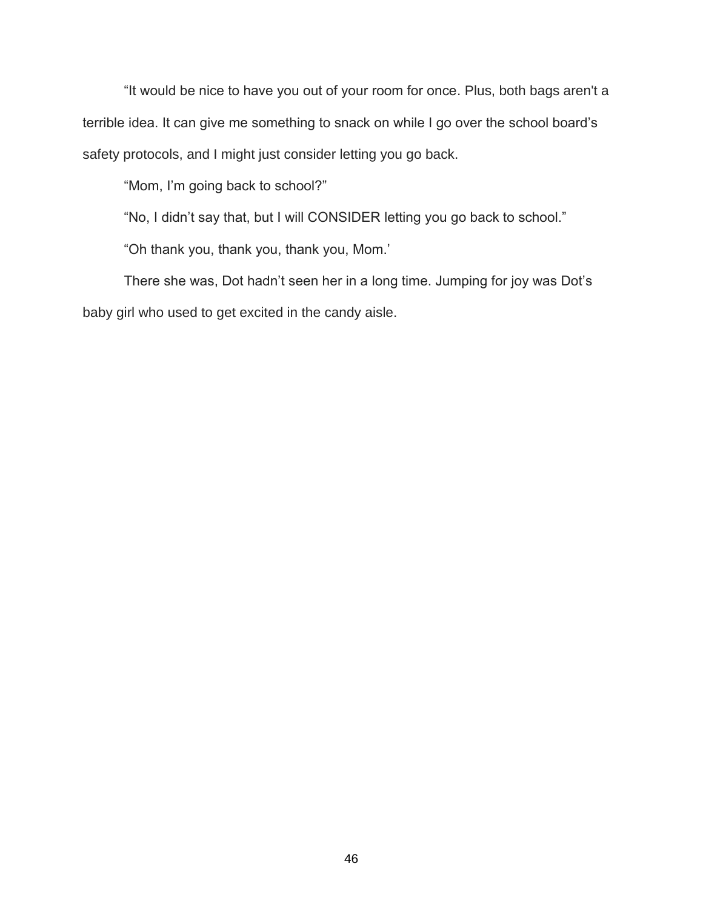"It would be nice to have you out of your room for once. Plus, both bags aren't a terrible idea. It can give me something to snack on while I go over the school board's safety protocols, and I might just consider letting you go back.

"Mom, I'm going back to school?"

"No, I didn't say that, but I will CONSIDER letting you go back to school."

"Oh thank you, thank you, thank you, Mom.'

There she was, Dot hadn't seen her in a long time. Jumping for joy was Dot's baby girl who used to get excited in the candy aisle.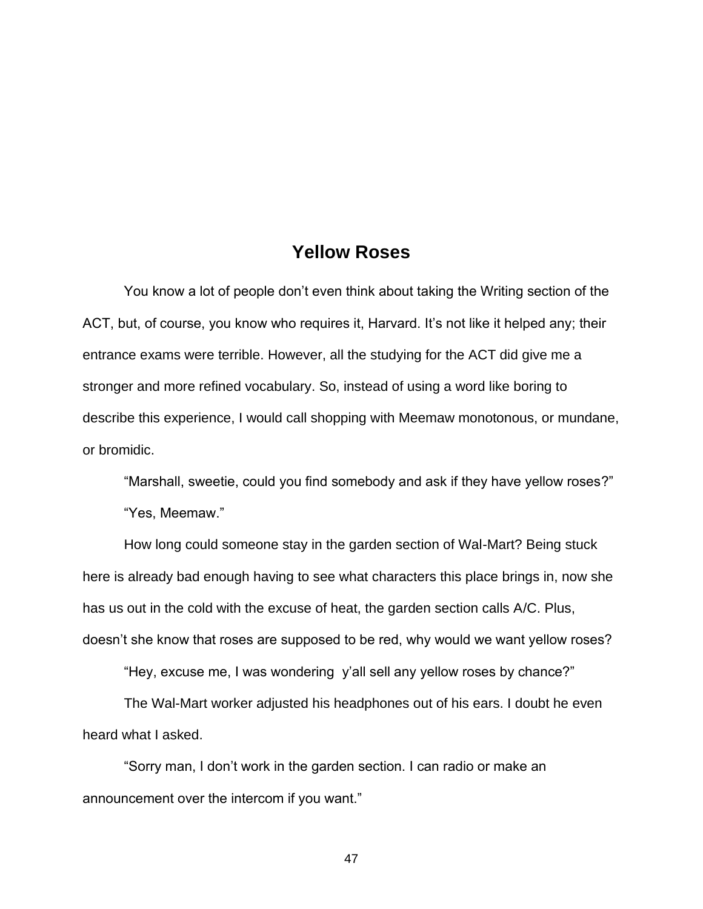## **Yellow Roses**

You know a lot of people don't even think about taking the Writing section of the ACT, but, of course, you know who requires it, Harvard. It's not like it helped any; their entrance exams were terrible. However, all the studying for the ACT did give me a stronger and more refined vocabulary. So, instead of using a word like boring to describe this experience, I would call shopping with Meemaw monotonous, or mundane, or bromidic.

"Marshall, sweetie, could you find somebody and ask if they have yellow roses?" "Yes, Meemaw."

How long could someone stay in the garden section of Wal-Mart? Being stuck here is already bad enough having to see what characters this place brings in, now she has us out in the cold with the excuse of heat, the garden section calls A/C. Plus, doesn't she know that roses are supposed to be red, why would we want yellow roses?

"Hey, excuse me, I was wondering y'all sell any yellow roses by chance?"

The Wal-Mart worker adjusted his headphones out of his ears. I doubt he even heard what I asked.

"Sorry man, I don't work in the garden section. I can radio or make an announcement over the intercom if you want."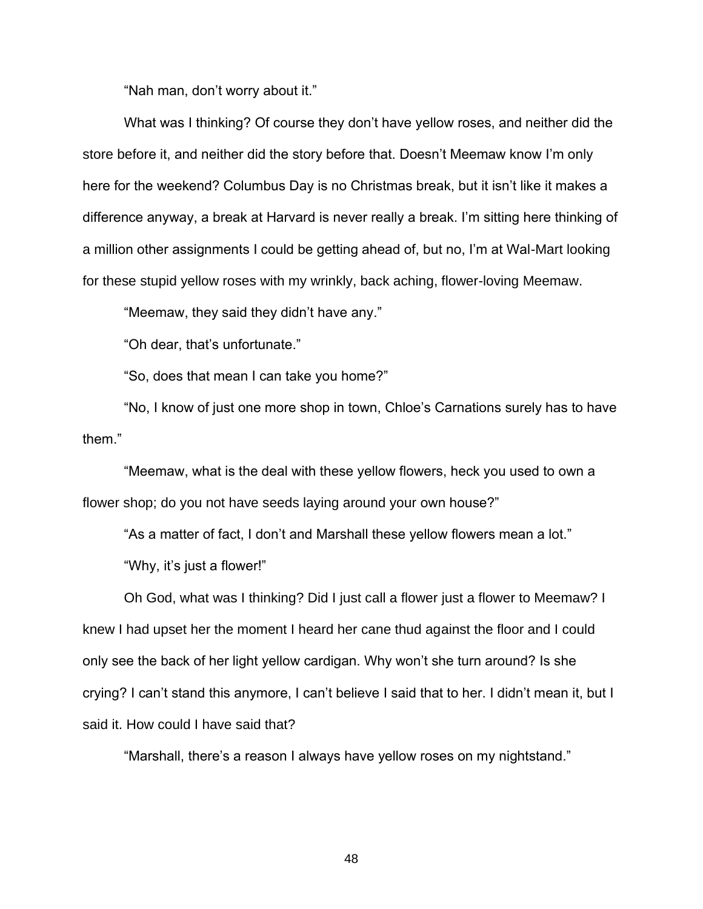"Nah man, don't worry about it."

What was I thinking? Of course they don't have yellow roses, and neither did the store before it, and neither did the story before that. Doesn't Meemaw know I'm only here for the weekend? Columbus Day is no Christmas break, but it isn't like it makes a difference anyway, a break at Harvard is never really a break. I'm sitting here thinking of a million other assignments I could be getting ahead of, but no, I'm at Wal-Mart looking for these stupid yellow roses with my wrinkly, back aching, flower-loving Meemaw.

"Meemaw, they said they didn't have any."

"Oh dear, that's unfortunate."

"So, does that mean I can take you home?"

"No, I know of just one more shop in town, Chloe's Carnations surely has to have them."

"Meemaw, what is the deal with these yellow flowers, heck you used to own a flower shop; do you not have seeds laying around your own house?"

"As a matter of fact, I don't and Marshall these yellow flowers mean a lot." "Why, it's just a flower!"

Oh God, what was I thinking? Did I just call a flower just a flower to Meemaw? I knew I had upset her the moment I heard her cane thud against the floor and I could only see the back of her light yellow cardigan. Why won't she turn around? Is she crying? I can't stand this anymore, I can't believe I said that to her. I didn't mean it, but I said it. How could I have said that?

"Marshall, there's a reason I always have yellow roses on my nightstand."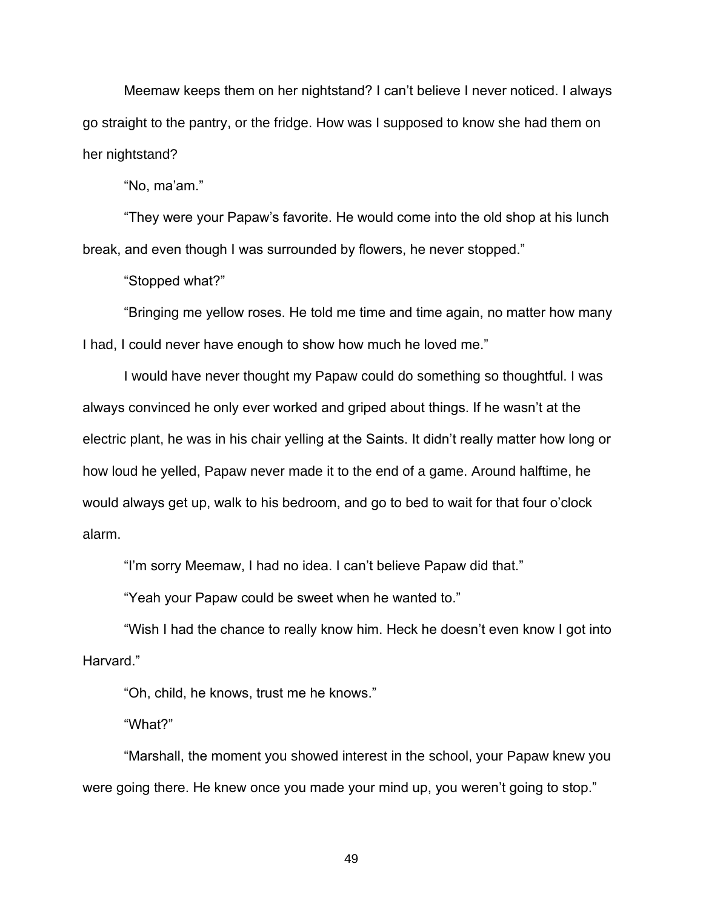Meemaw keeps them on her nightstand? I can't believe I never noticed. I always go straight to the pantry, or the fridge. How was I supposed to know she had them on her nightstand?

"No, ma'am."

"They were your Papaw's favorite. He would come into the old shop at his lunch break, and even though I was surrounded by flowers, he never stopped."

"Stopped what?"

"Bringing me yellow roses. He told me time and time again, no matter how many I had, I could never have enough to show how much he loved me."

I would have never thought my Papaw could do something so thoughtful. I was always convinced he only ever worked and griped about things. If he wasn't at the electric plant, he was in his chair yelling at the Saints. It didn't really matter how long or how loud he yelled, Papaw never made it to the end of a game. Around halftime, he would always get up, walk to his bedroom, and go to bed to wait for that four o'clock alarm.

"I'm sorry Meemaw, I had no idea. I can't believe Papaw did that."

"Yeah your Papaw could be sweet when he wanted to."

"Wish I had the chance to really know him. Heck he doesn't even know I got into Harvard."

"Oh, child, he knows, trust me he knows."

"What?"

"Marshall, the moment you showed interest in the school, your Papaw knew you were going there. He knew once you made your mind up, you weren't going to stop."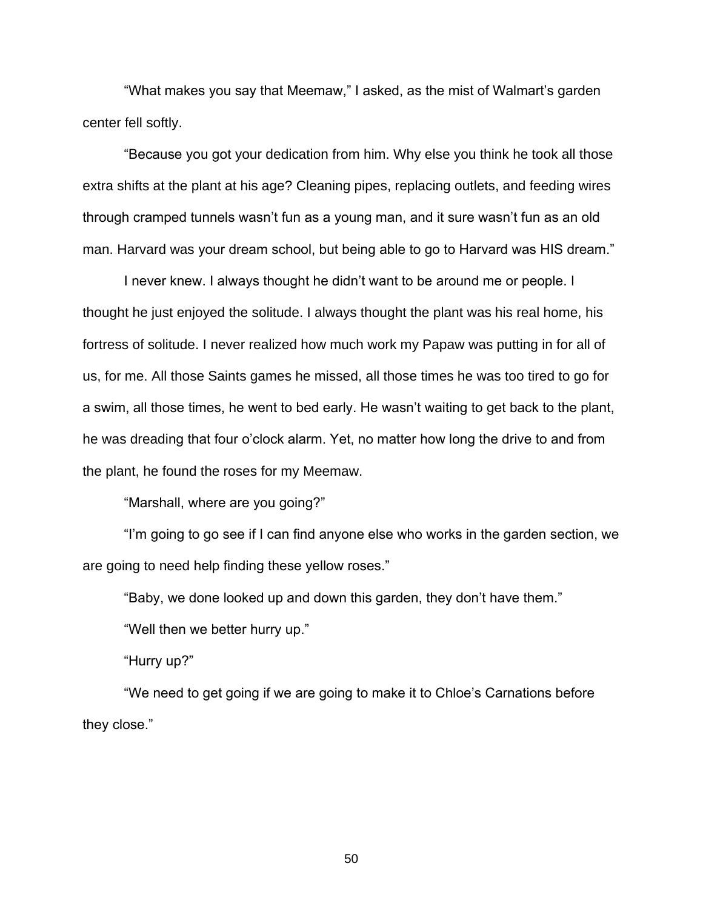"What makes you say that Meemaw," I asked, as the mist of Walmart's garden center fell softly.

"Because you got your dedication from him. Why else you think he took all those extra shifts at the plant at his age? Cleaning pipes, replacing outlets, and feeding wires through cramped tunnels wasn't fun as a young man, and it sure wasn't fun as an old man. Harvard was your dream school, but being able to go to Harvard was HIS dream."

I never knew. I always thought he didn't want to be around me or people. I thought he just enjoyed the solitude. I always thought the plant was his real home, his fortress of solitude. I never realized how much work my Papaw was putting in for all of us, for me. All those Saints games he missed, all those times he was too tired to go for a swim, all those times, he went to bed early. He wasn't waiting to get back to the plant, he was dreading that four o'clock alarm. Yet, no matter how long the drive to and from the plant, he found the roses for my Meemaw.

"Marshall, where are you going?"

"I'm going to go see if I can find anyone else who works in the garden section, we are going to need help finding these yellow roses."

"Baby, we done looked up and down this garden, they don't have them."

"Well then we better hurry up."

"Hurry up?"

"We need to get going if we are going to make it to Chloe's Carnations before they close."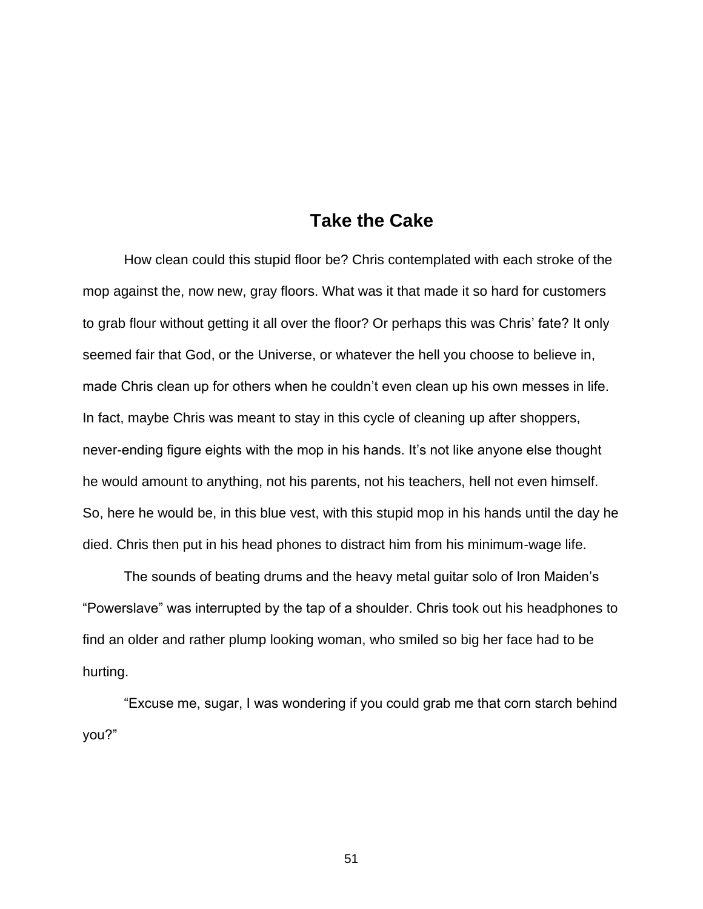### **Take the Cake**

How clean could this stupid floor be? Chris contemplated with each stroke of the mop against the, now new, gray floors. What was it that made it so hard for customers to grab flour without getting it all over the floor? Or perhaps this was Chris' fate? It only seemed fair that God, or the Universe, or whatever the hell you choose to believe in, made Chris clean up for others when he couldn't even clean up his own messes in life. In fact, maybe Chris was meant to stay in this cycle of cleaning up after shoppers, never-ending figure eights with the mop in his hands. It's not like anyone else thought he would amount to anything, not his parents, not his teachers, hell not even himself. So, here he would be, in this blue vest, with this stupid mop in his hands until the day he died. Chris then put in his head phones to distract him from his minimum-wage life.

The sounds of beating drums and the heavy metal guitar solo of Iron Maiden's "Powerslave" was interrupted by the tap of a shoulder. Chris took out his headphones to find an older and rather plump looking woman, who smiled so big her face had to be hurting.

"Excuse me, sugar, I was wondering if you could grab me that corn starch behind you?"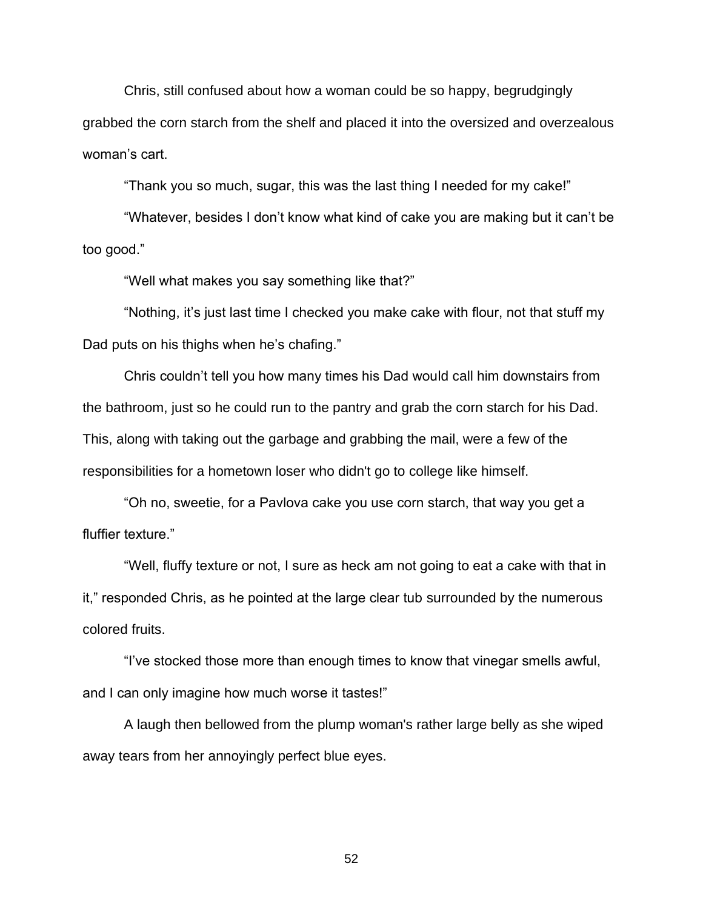Chris, still confused about how a woman could be so happy, begrudgingly grabbed the corn starch from the shelf and placed it into the oversized and overzealous woman's cart.

"Thank you so much, sugar, this was the last thing I needed for my cake!"

"Whatever, besides I don't know what kind of cake you are making but it can't be too good."

"Well what makes you say something like that?"

"Nothing, it's just last time I checked you make cake with flour, not that stuff my Dad puts on his thighs when he's chafing."

Chris couldn't tell you how many times his Dad would call him downstairs from the bathroom, just so he could run to the pantry and grab the corn starch for his Dad. This, along with taking out the garbage and grabbing the mail, were a few of the responsibilities for a hometown loser who didn't go to college like himself.

"Oh no, sweetie, for a Pavlova cake you use corn starch, that way you get a fluffier texture."

"Well, fluffy texture or not, I sure as heck am not going to eat a cake with that in it," responded Chris, as he pointed at the large clear tub surrounded by the numerous colored fruits.

"I've stocked those more than enough times to know that vinegar smells awful, and I can only imagine how much worse it tastes!"

A laugh then bellowed from the plump woman's rather large belly as she wiped away tears from her annoyingly perfect blue eyes.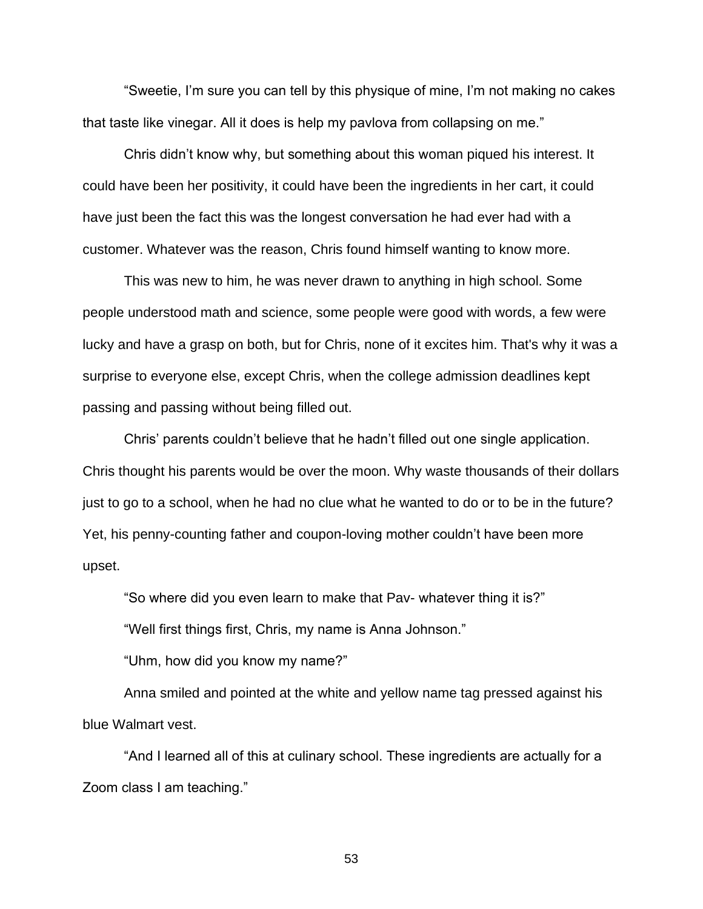"Sweetie, I'm sure you can tell by this physique of mine, I'm not making no cakes that taste like vinegar. All it does is help my pavlova from collapsing on me."

Chris didn't know why, but something about this woman piqued his interest. It could have been her positivity, it could have been the ingredients in her cart, it could have just been the fact this was the longest conversation he had ever had with a customer. Whatever was the reason, Chris found himself wanting to know more.

This was new to him, he was never drawn to anything in high school. Some people understood math and science, some people were good with words, a few were lucky and have a grasp on both, but for Chris, none of it excites him. That's why it was a surprise to everyone else, except Chris, when the college admission deadlines kept passing and passing without being filled out.

Chris' parents couldn't believe that he hadn't filled out one single application. Chris thought his parents would be over the moon. Why waste thousands of their dollars just to go to a school, when he had no clue what he wanted to do or to be in the future? Yet, his penny-counting father and coupon-loving mother couldn't have been more upset.

"So where did you even learn to make that Pav- whatever thing it is?"

"Well first things first, Chris, my name is Anna Johnson."

"Uhm, how did you know my name?"

Anna smiled and pointed at the white and yellow name tag pressed against his blue Walmart vest.

"And I learned all of this at culinary school. These ingredients are actually for a Zoom class I am teaching."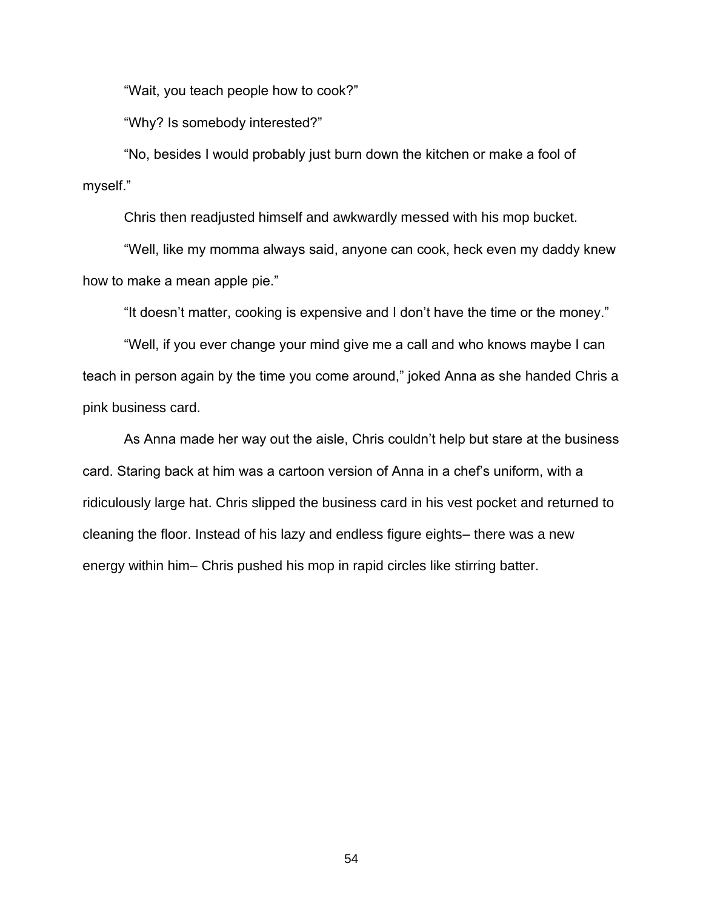"Wait, you teach people how to cook?"

"Why? Is somebody interested?"

"No, besides I would probably just burn down the kitchen or make a fool of myself."

Chris then readjusted himself and awkwardly messed with his mop bucket.

"Well, like my momma always said, anyone can cook, heck even my daddy knew how to make a mean apple pie."

"It doesn't matter, cooking is expensive and I don't have the time or the money."

"Well, if you ever change your mind give me a call and who knows maybe I can teach in person again by the time you come around," joked Anna as she handed Chris a pink business card.

As Anna made her way out the aisle, Chris couldn't help but stare at the business card. Staring back at him was a cartoon version of Anna in a chef's uniform, with a ridiculously large hat. Chris slipped the business card in his vest pocket and returned to cleaning the floor. Instead of his lazy and endless figure eights– there was a new energy within him– Chris pushed his mop in rapid circles like stirring batter.